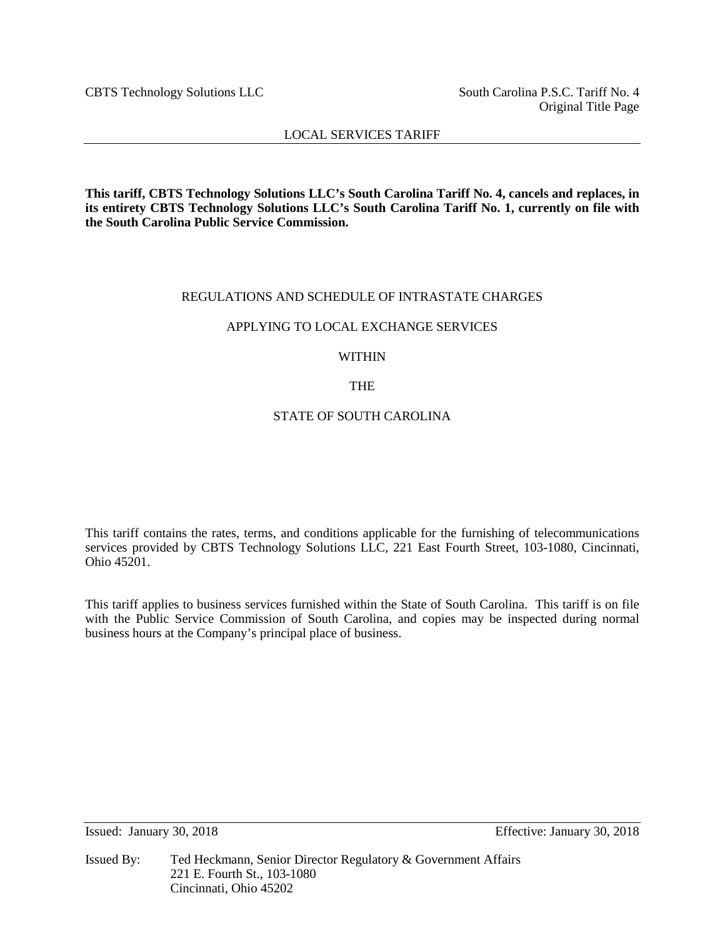CBTS Technology Solutions LLC South Carolina P.S.C. Tariff No. 4

Original Title Page

## LOCAL SERVICES TARIFF

**This tariff, CBTS Technology Solutions LLC's South Carolina Tariff No. 4, cancels and replaces, in its entirety CBTS Technology Solutions LLC's South Carolina Tariff No. 1, currently on file with the South Carolina Public Service Commission.**

## REGULATIONS AND SCHEDULE OF INTRASTATE CHARGES

## APPLYING TO LOCAL EXCHANGE SERVICES

## WITHIN

## THE

## STATE OF SOUTH CAROLINA

This tariff contains the rates, terms, and conditions applicable for the furnishing of telecommunications services provided by CBTS Technology Solutions LLC, 221 East Fourth Street, 103-1080, Cincinnati, Ohio 45201.

This tariff applies to business services furnished within the State of South Carolina. This tariff is on file with the Public Service Commission of South Carolina, and copies may be inspected during normal business hours at the Company's principal place of business.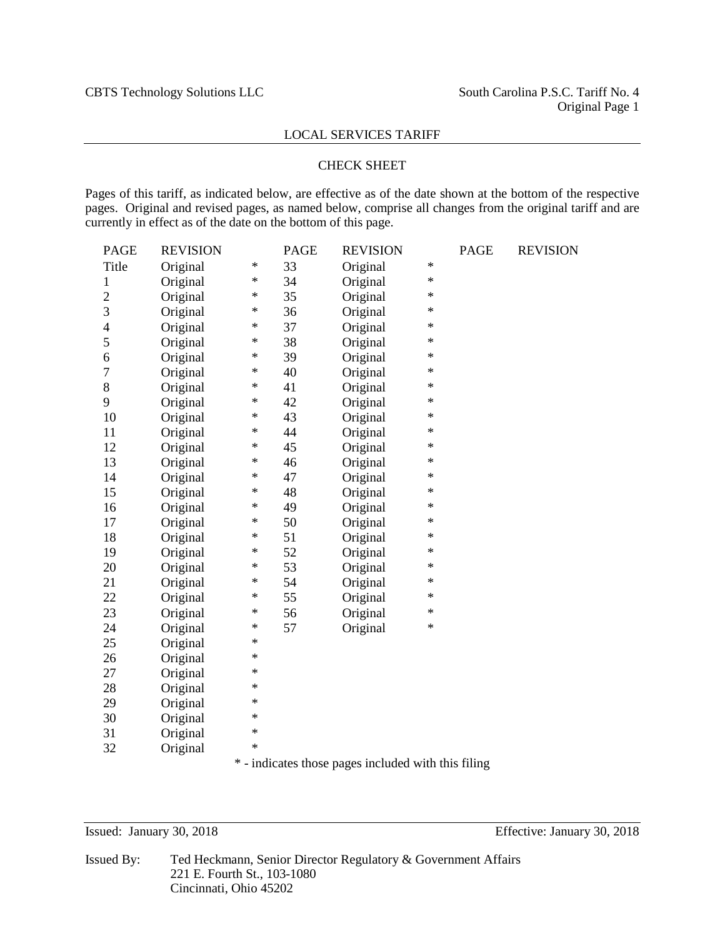#### CHECK SHEET

Pages of this tariff, as indicated below, are effective as of the date shown at the bottom of the respective pages. Original and revised pages, as named below, comprise all changes from the original tariff and are currently in effect as of the date on the bottom of this page.

| <b>PAGE</b>    | <b>REVISION</b> |          | <b>PAGE</b> | <b>REVISION</b> |              | <b>PAGE</b>    | <b>REVISION</b> |
|----------------|-----------------|----------|-------------|-----------------|--------------|----------------|-----------------|
| Title          | Original        | *        | 33          | Original        | $\ast$       |                |                 |
| 1              | Original        | $\ast$   | 34          | Original        | $\ast$       |                |                 |
| $\overline{2}$ | Original        | ∗        | 35          | Original        | $\ast$       |                |                 |
| 3              | Original        | ∗        | 36          | Original        | $\ast$       |                |                 |
| $\overline{4}$ | Original        | $\ast$   | 37          | Original        | $\ast$       |                |                 |
| 5              | Original        | *        | 38          | Original        | $\ast$       |                |                 |
| 6              | Original        | ∗        | 39          | Original        | *            |                |                 |
| 7              | Original        | ∗        | 40          | Original        | *            |                |                 |
| 8              | Original        | ∗        | 41          | Original        | *            |                |                 |
| 9              | Original        | ∗        | 42          | Original        | *            |                |                 |
| 10             | Original        | ∗        | 43          | Original        | *            |                |                 |
| 11             | Original        | $\ast$   | 44          | Original        | $\ast$       |                |                 |
| 12             | Original        | $\ast$   | 45          | Original        | $\ast$       |                |                 |
| 13             | Original        | $\ast$   | 46          | Original        | $\ast$       |                |                 |
| 14             | Original        | ∗        | 47          | Original        | $\ast$       |                |                 |
| 15             | Original        | ∗        | 48          | Original        | $\ast$       |                |                 |
| 16             | Original        | $\ast$   | 49          | Original        | $\ast$       |                |                 |
| 17             | Original        | *        | 50          | Original        | $\ast$       |                |                 |
| 18             | Original        | ∗        | 51          | Original        | $\ast$       |                |                 |
| 19             | Original        | ∗        | 52          | Original        | *            |                |                 |
| 20             | Original        | ∗        | 53          | Original        | *            |                |                 |
| 21             | Original        | ∗        | 54          | Original        | *            |                |                 |
| 22             | Original        | ∗        | 55          | Original        | *            |                |                 |
| 23             | Original        | $\ast$   | 56          | Original        | *            |                |                 |
| 24             | Original        | $\ast$   | 57          | Original        | $\ast$       |                |                 |
| 25             | Original        | $\ast$   |             |                 |              |                |                 |
| 26             | Original        | $\ast$   |             |                 |              |                |                 |
| 27             | Original        | $\ast$   |             |                 |              |                |                 |
| 28             | Original        | $\ast$   |             |                 |              |                |                 |
| 29             | Original        | ∗        |             |                 |              |                |                 |
| 30             | Original        | *        |             |                 |              |                |                 |
| 31             | Original        | *        |             |                 |              |                |                 |
| 32             | Original        | $\ast$   |             |                 |              |                |                 |
|                |                 | $\cdots$ |             | $1 \t1 \t1$     | $2.1 - 11.2$ | C <sub>1</sub> |                 |

\* - indicates those pages included with this filing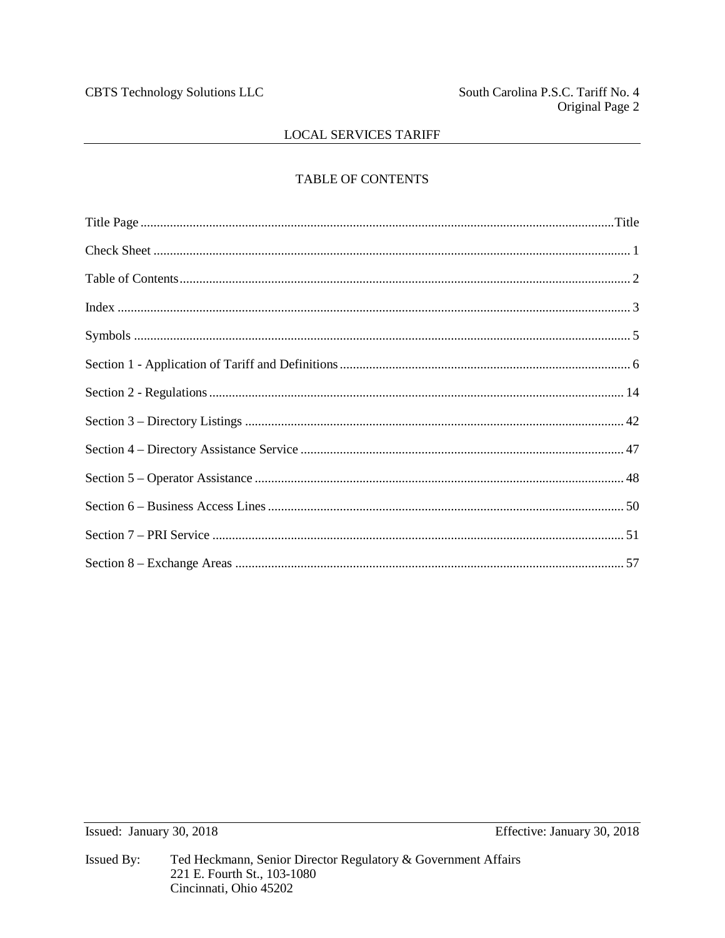## TABLE OF CONTENTS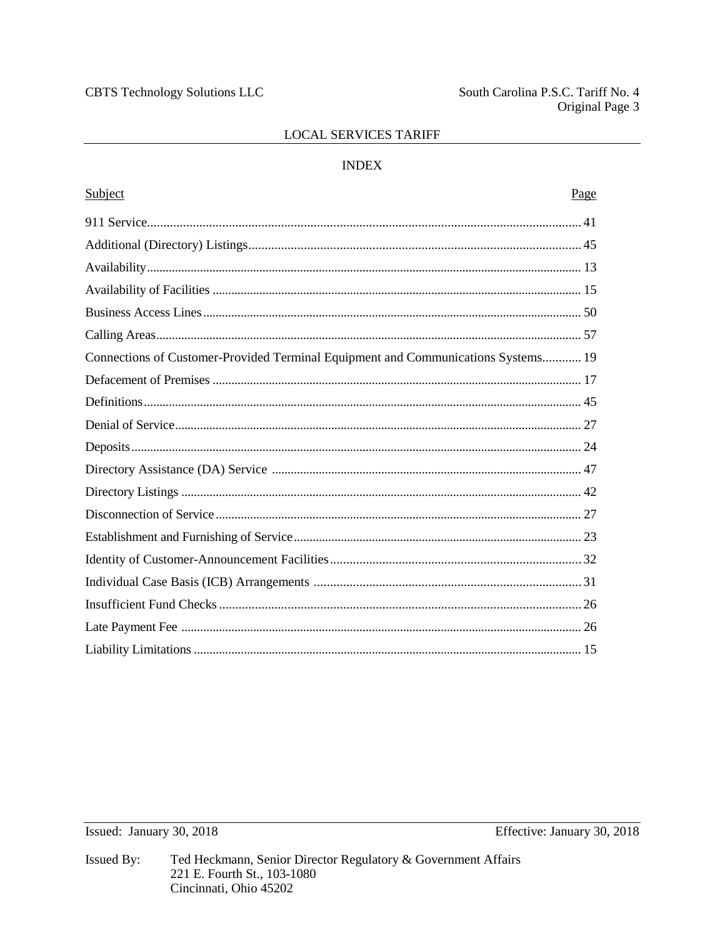## **INDEX**

| Subject                                                                           | Page |
|-----------------------------------------------------------------------------------|------|
|                                                                                   |      |
|                                                                                   |      |
|                                                                                   |      |
|                                                                                   |      |
|                                                                                   |      |
|                                                                                   |      |
| Connections of Customer-Provided Terminal Equipment and Communications Systems 19 |      |
|                                                                                   |      |
|                                                                                   |      |
|                                                                                   |      |
|                                                                                   |      |
|                                                                                   |      |
|                                                                                   |      |
|                                                                                   |      |
|                                                                                   |      |
|                                                                                   |      |
|                                                                                   |      |
|                                                                                   |      |
|                                                                                   |      |
|                                                                                   |      |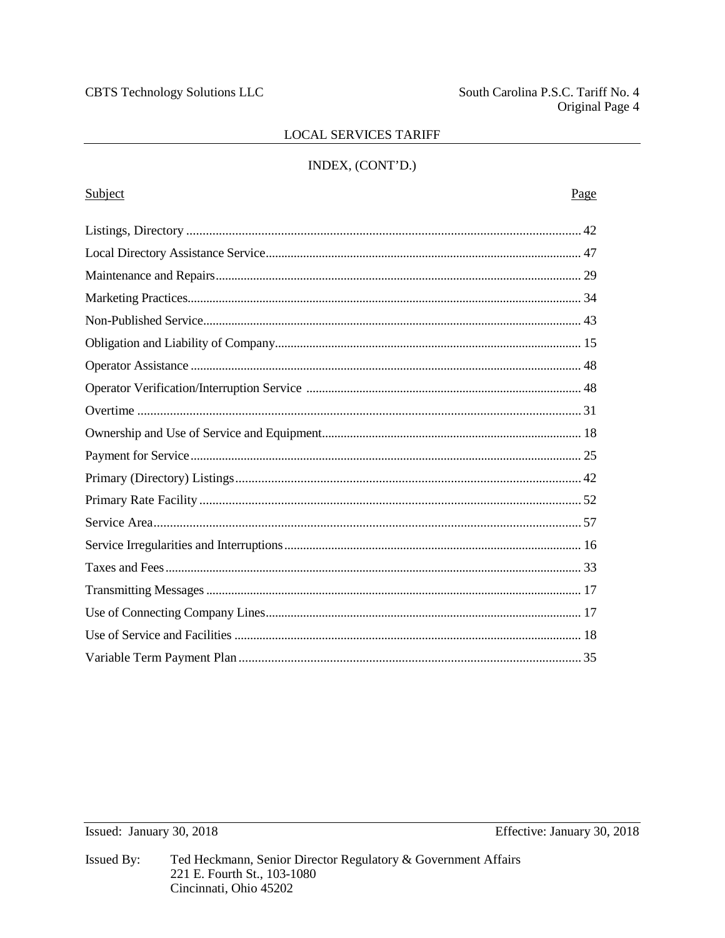South Carolina P.S.C. Tariff No. 4 Original Page 4

## **LOCAL SERVICES TARIFF**

## INDEX, (CONT'D.)

# Subject Page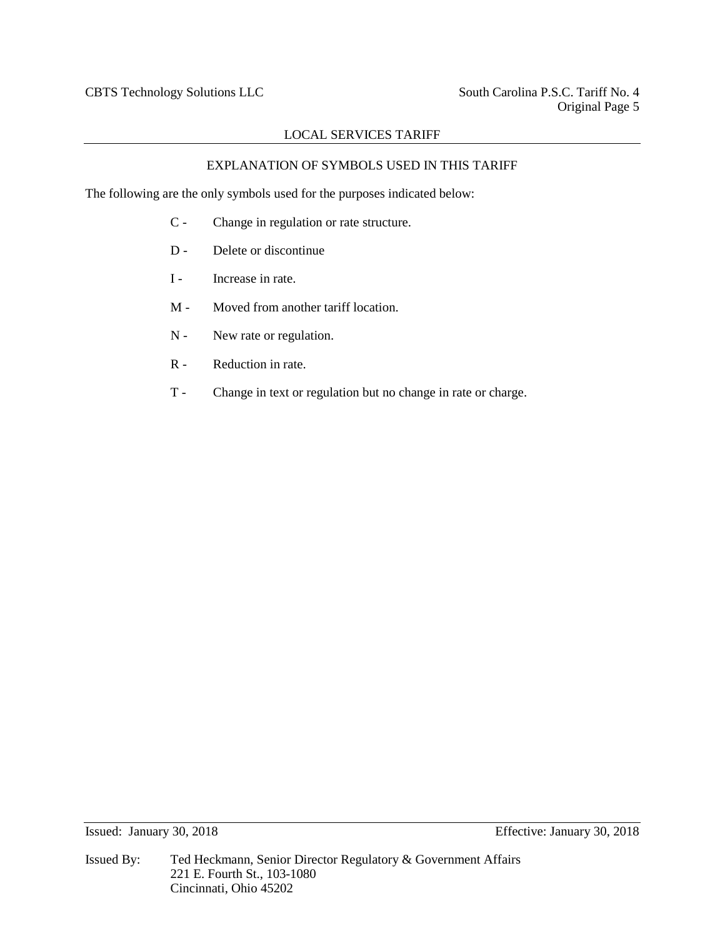## EXPLANATION OF SYMBOLS USED IN THIS TARIFF

The following are the only symbols used for the purposes indicated below:

- C Change in regulation or rate structure.
- D Delete or discontinue
- I Increase in rate.
- M Moved from another tariff location.
- N New rate or regulation.
- R Reduction in rate.
- T Change in text or regulation but no change in rate or charge.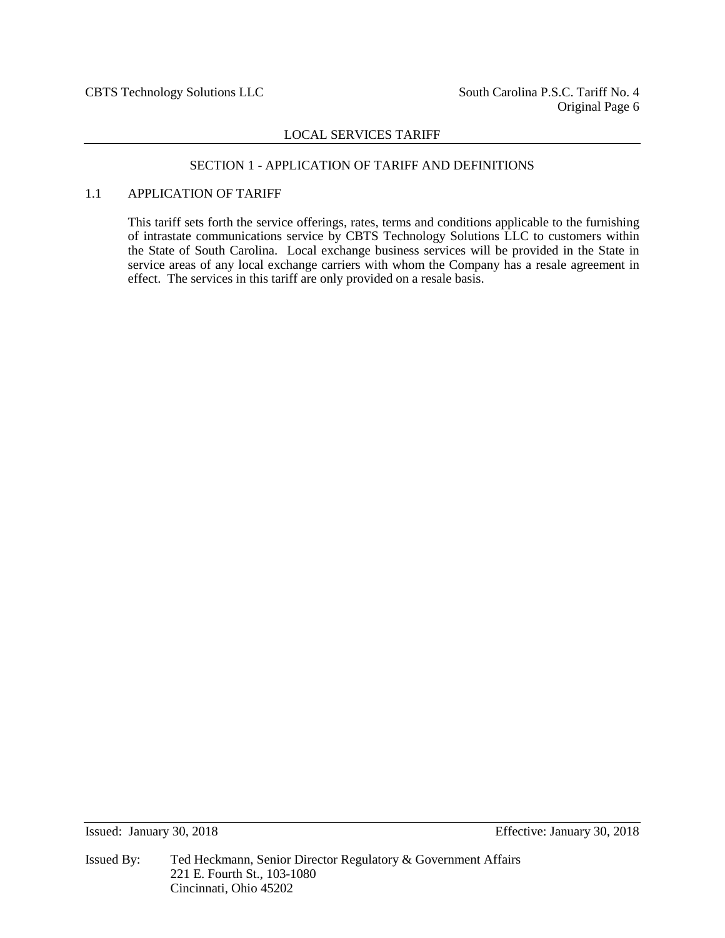## SECTION 1 - APPLICATION OF TARIFF AND DEFINITIONS

## 1.1 APPLICATION OF TARIFF

This tariff sets forth the service offerings, rates, terms and conditions applicable to the furnishing of intrastate communications service by CBTS Technology Solutions LLC to customers within the State of South Carolina. Local exchange business services will be provided in the State in service areas of any local exchange carriers with whom the Company has a resale agreement in effect. The services in this tariff are only provided on a resale basis.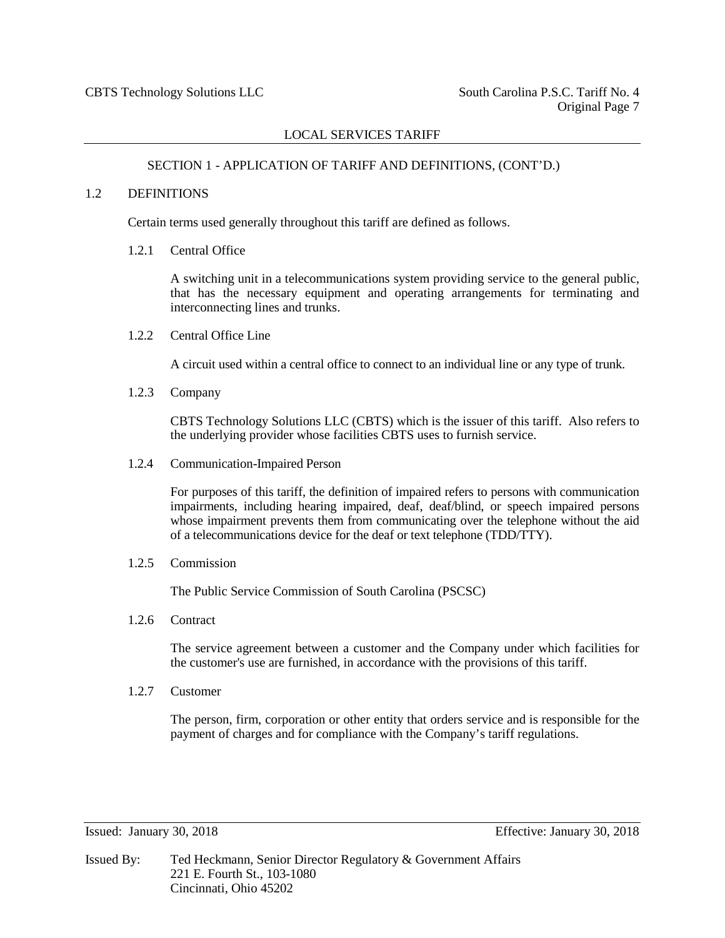#### SECTION 1 - APPLICATION OF TARIFF AND DEFINITIONS, (CONT'D.)

#### 1.2 DEFINITIONS

Certain terms used generally throughout this tariff are defined as follows.

#### 1.2.1 Central Office

A switching unit in a telecommunications system providing service to the general public, that has the necessary equipment and operating arrangements for terminating and interconnecting lines and trunks.

1.2.2 Central Office Line

A circuit used within a central office to connect to an individual line or any type of trunk.

1.2.3 Company

CBTS Technology Solutions LLC (CBTS) which is the issuer of this tariff. Also refers to the underlying provider whose facilities CBTS uses to furnish service.

1.2.4 Communication-Impaired Person

For purposes of this tariff, the definition of impaired refers to persons with communication impairments, including hearing impaired, deaf, deaf/blind, or speech impaired persons whose impairment prevents them from communicating over the telephone without the aid of a telecommunications device for the deaf or text telephone (TDD/TTY).

1.2.5 Commission

The Public Service Commission of South Carolina (PSCSC)

1.2.6 Contract

The service agreement between a customer and the Company under which facilities for the customer's use are furnished, in accordance with the provisions of this tariff.

1.2.7 Customer

The person, firm, corporation or other entity that orders service and is responsible for the payment of charges and for compliance with the Company's tariff regulations.

Issued: January 30, 2018 Effective: January 30, 2018

Issued By: Ted Heckmann, Senior Director Regulatory & Government Affairs 221 E. Fourth St., 103-1080 Cincinnati, Ohio 45202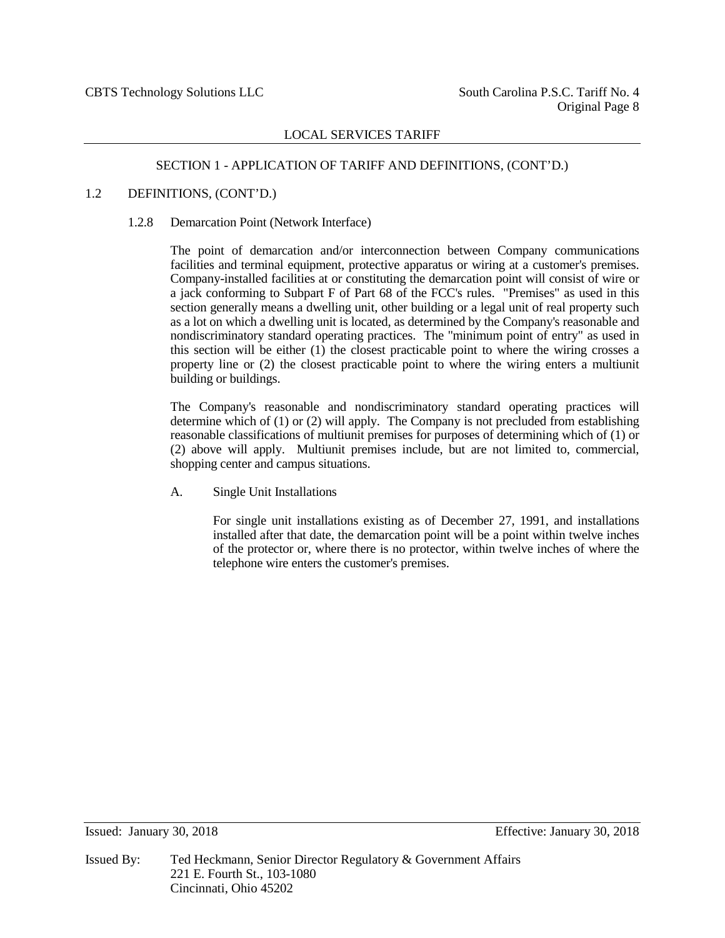#### SECTION 1 - APPLICATION OF TARIFF AND DEFINITIONS, (CONT'D.)

#### 1.2 DEFINITIONS, (CONT'D.)

#### 1.2.8 Demarcation Point (Network Interface)

The point of demarcation and/or interconnection between Company communications facilities and terminal equipment, protective apparatus or wiring at a customer's premises. Company-installed facilities at or constituting the demarcation point will consist of wire or a jack conforming to Subpart F of Part 68 of the FCC's rules. "Premises" as used in this section generally means a dwelling unit, other building or a legal unit of real property such as a lot on which a dwelling unit is located, as determined by the Company's reasonable and nondiscriminatory standard operating practices. The "minimum point of entry" as used in this section will be either (1) the closest practicable point to where the wiring crosses a property line or (2) the closest practicable point to where the wiring enters a multiunit building or buildings.

The Company's reasonable and nondiscriminatory standard operating practices will determine which of (1) or (2) will apply. The Company is not precluded from establishing reasonable classifications of multiunit premises for purposes of determining which of (1) or (2) above will apply. Multiunit premises include, but are not limited to, commercial, shopping center and campus situations.

A. Single Unit Installations

For single unit installations existing as of December 27, 1991, and installations installed after that date, the demarcation point will be a point within twelve inches of the protector or, where there is no protector, within twelve inches of where the telephone wire enters the customer's premises.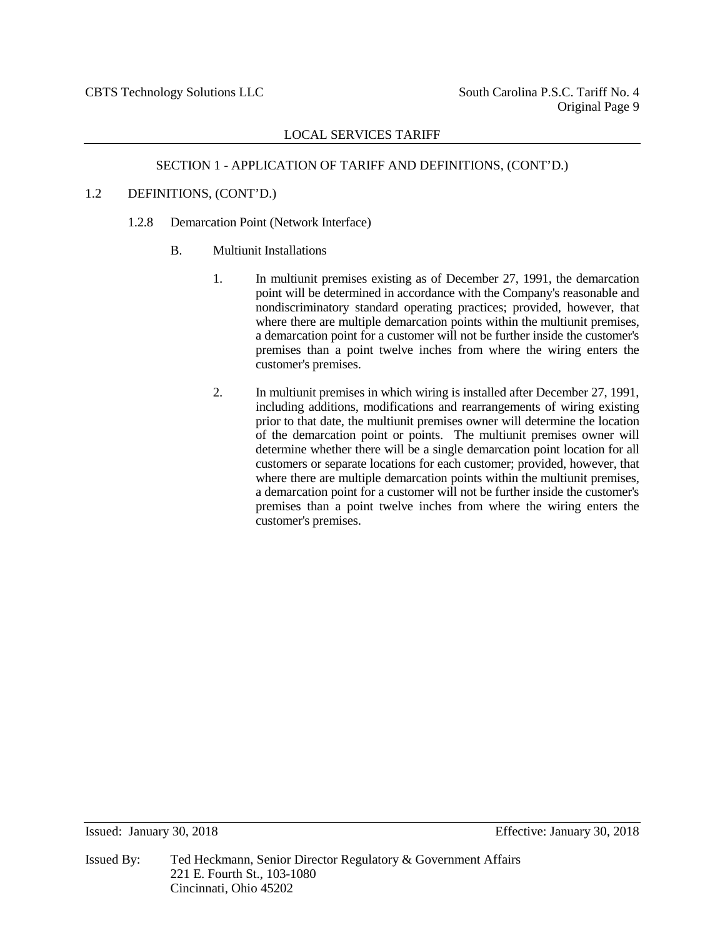## SECTION 1 - APPLICATION OF TARIFF AND DEFINITIONS, (CONT'D.)

## 1.2 DEFINITIONS, (CONT'D.)

- 1.2.8 Demarcation Point (Network Interface)
	- B. Multiunit Installations
		- 1. In multiunit premises existing as of December 27, 1991, the demarcation point will be determined in accordance with the Company's reasonable and nondiscriminatory standard operating practices; provided, however, that where there are multiple demarcation points within the multiunit premises, a demarcation point for a customer will not be further inside the customer's premises than a point twelve inches from where the wiring enters the customer's premises.
		- 2. In multiunit premises in which wiring is installed after December 27, 1991, including additions, modifications and rearrangements of wiring existing prior to that date, the multiunit premises owner will determine the location of the demarcation point or points. The multiunit premises owner will determine whether there will be a single demarcation point location for all customers or separate locations for each customer; provided, however, that where there are multiple demarcation points within the multiunit premises, a demarcation point for a customer will not be further inside the customer's premises than a point twelve inches from where the wiring enters the customer's premises.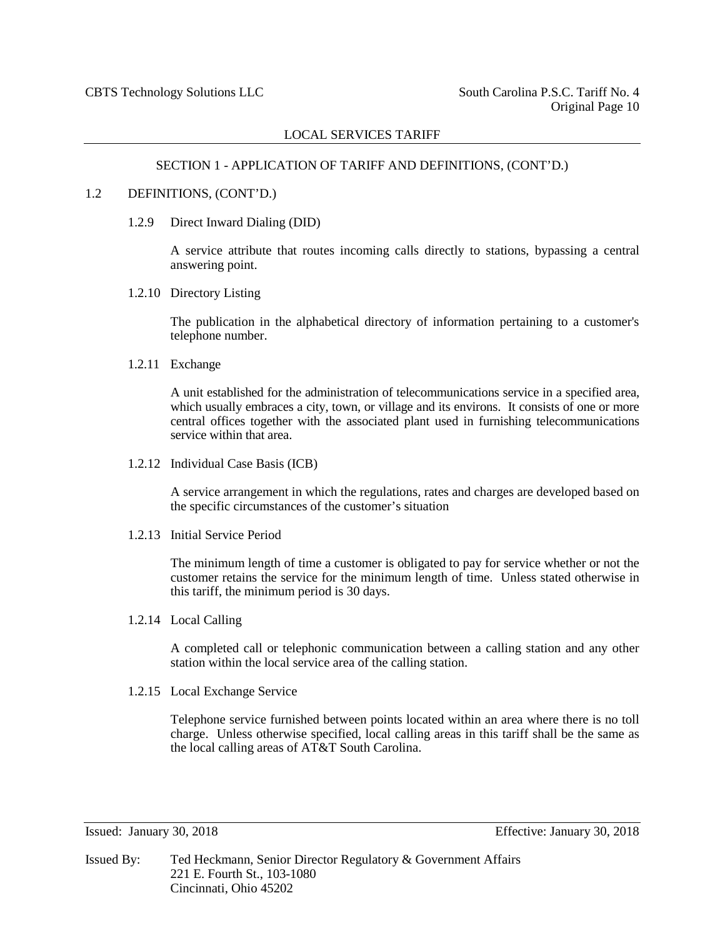## SECTION 1 - APPLICATION OF TARIFF AND DEFINITIONS, (CONT'D.)

#### 1.2 DEFINITIONS, (CONT'D.)

1.2.9 Direct Inward Dialing (DID)

A service attribute that routes incoming calls directly to stations, bypassing a central answering point.

1.2.10 Directory Listing

The publication in the alphabetical directory of information pertaining to a customer's telephone number.

1.2.11 Exchange

A unit established for the administration of telecommunications service in a specified area, which usually embraces a city, town, or village and its environs. It consists of one or more central offices together with the associated plant used in furnishing telecommunications service within that area.

1.2.12 Individual Case Basis (ICB)

A service arrangement in which the regulations, rates and charges are developed based on the specific circumstances of the customer's situation

1.2.13 Initial Service Period

The minimum length of time a customer is obligated to pay for service whether or not the customer retains the service for the minimum length of time. Unless stated otherwise in this tariff, the minimum period is 30 days.

1.2.14 Local Calling

A completed call or telephonic communication between a calling station and any other station within the local service area of the calling station.

1.2.15 Local Exchange Service

Telephone service furnished between points located within an area where there is no toll charge. Unless otherwise specified, local calling areas in this tariff shall be the same as the local calling areas of AT&T South Carolina.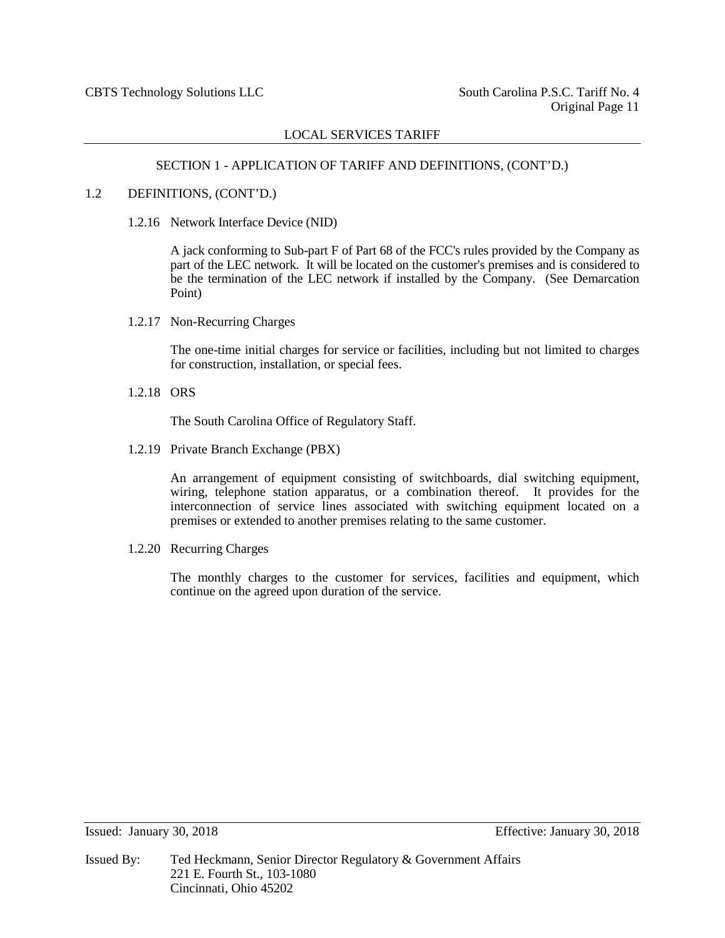#### SECTION 1 - APPLICATION OF TARIFF AND DEFINITIONS, (CONT'D.)

#### 1.2 DEFINITIONS, (CONT'D.)

1.2.16 Network Interface Device (NID)

A jack conforming to Sub-part F of Part 68 of the FCC's rules provided by the Company as part of the LEC network. It will be located on the customer's premises and is considered to be the termination of the LEC network if installed by the Company. (See Demarcation Point)

1.2.17 Non-Recurring Charges

The one-time initial charges for service or facilities, including but not limited to charges for construction, installation, or special fees.

1.2.18 ORS

The South Carolina Office of Regulatory Staff.

1.2.19 Private Branch Exchange (PBX)

An arrangement of equipment consisting of switchboards, dial switching equipment, wiring, telephone station apparatus, or a combination thereof. It provides for the interconnection of service lines associated with switching equipment located on a premises or extended to another premises relating to the same customer.

1.2.20 Recurring Charges

The monthly charges to the customer for services, facilities and equipment, which continue on the agreed upon duration of the service.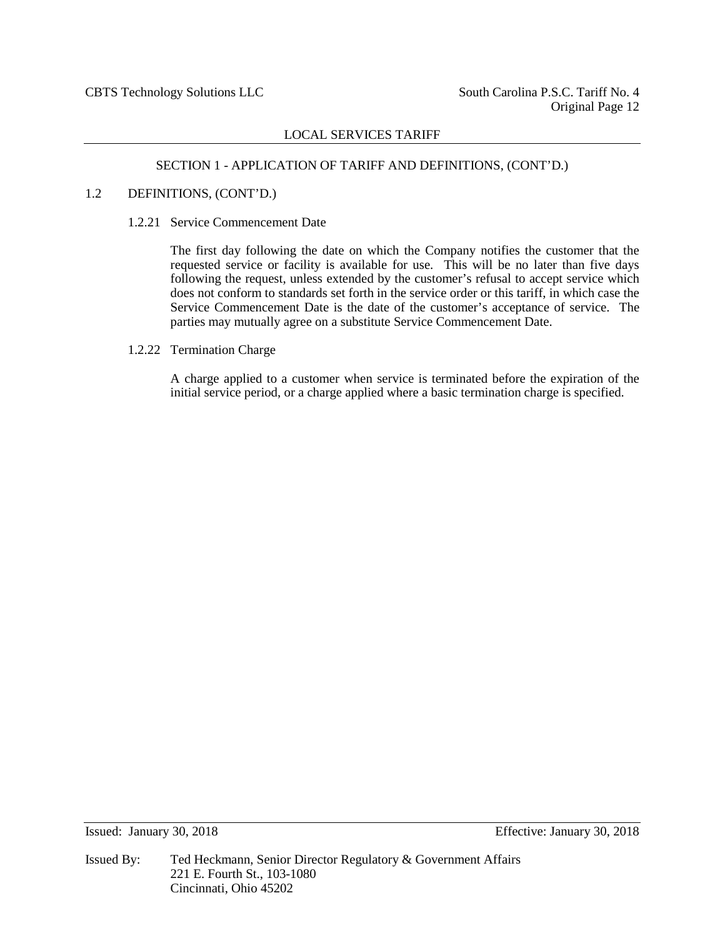#### SECTION 1 - APPLICATION OF TARIFF AND DEFINITIONS, (CONT'D.)

#### 1.2 DEFINITIONS, (CONT'D.)

1.2.21 Service Commencement Date

The first day following the date on which the Company notifies the customer that the requested service or facility is available for use. This will be no later than five days following the request, unless extended by the customer's refusal to accept service which does not conform to standards set forth in the service order or this tariff, in which case the Service Commencement Date is the date of the customer's acceptance of service. The parties may mutually agree on a substitute Service Commencement Date.

#### 1.2.22 Termination Charge

A charge applied to a customer when service is terminated before the expiration of the initial service period, or a charge applied where a basic termination charge is specified.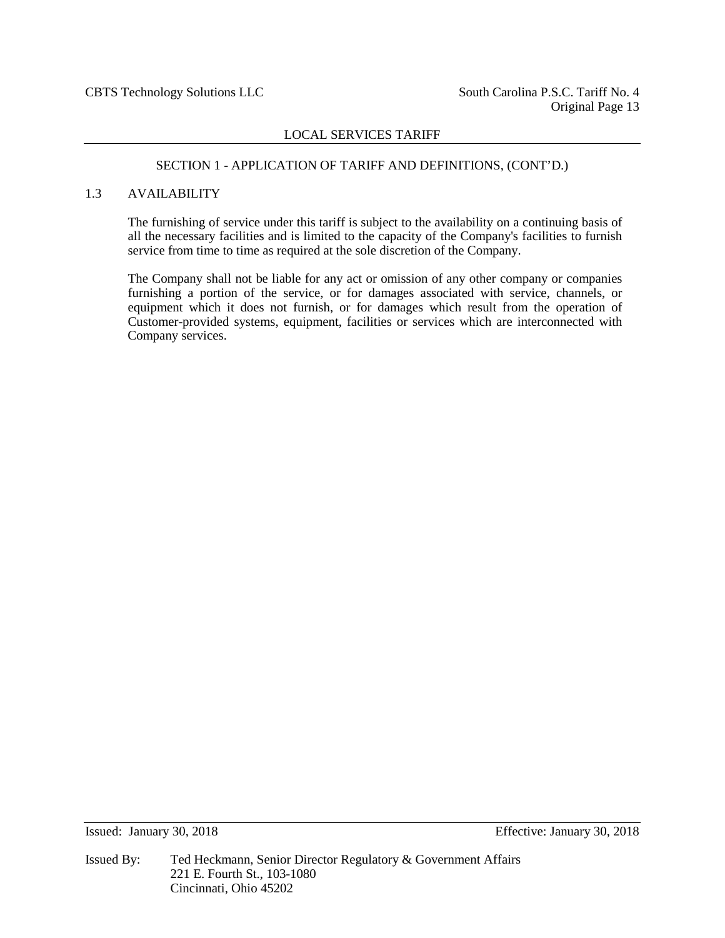## SECTION 1 - APPLICATION OF TARIFF AND DEFINITIONS, (CONT'D.)

#### 1.3 AVAILABILITY

The furnishing of service under this tariff is subject to the availability on a continuing basis of all the necessary facilities and is limited to the capacity of the Company's facilities to furnish service from time to time as required at the sole discretion of the Company.

The Company shall not be liable for any act or omission of any other company or companies furnishing a portion of the service, or for damages associated with service, channels, or equipment which it does not furnish, or for damages which result from the operation of Customer-provided systems, equipment, facilities or services which are interconnected with Company services.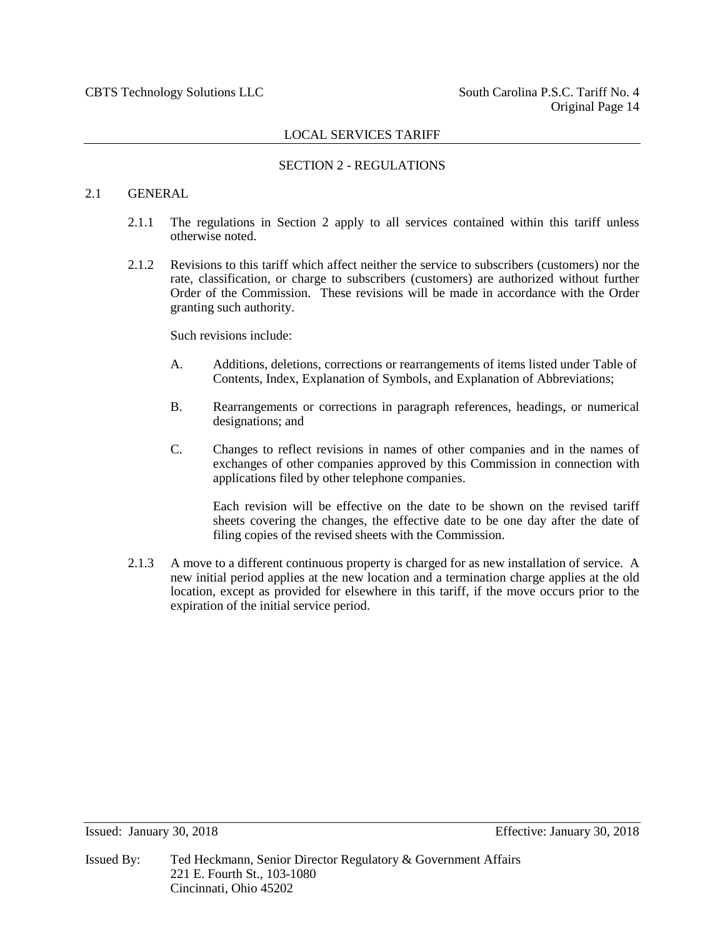## SECTION 2 - REGULATIONS

## 2.1 GENERAL

- 2.1.1 The regulations in Section 2 apply to all services contained within this tariff unless otherwise noted.
- 2.1.2 Revisions to this tariff which affect neither the service to subscribers (customers) nor the rate, classification, or charge to subscribers (customers) are authorized without further Order of the Commission. These revisions will be made in accordance with the Order granting such authority.

Such revisions include:

- A. Additions, deletions, corrections or rearrangements of items listed under Table of Contents, Index, Explanation of Symbols, and Explanation of Abbreviations;
- B. Rearrangements or corrections in paragraph references, headings, or numerical designations; and
- C. Changes to reflect revisions in names of other companies and in the names of exchanges of other companies approved by this Commission in connection with applications filed by other telephone companies.

Each revision will be effective on the date to be shown on the revised tariff sheets covering the changes, the effective date to be one day after the date of filing copies of the revised sheets with the Commission.

2.1.3 A move to a different continuous property is charged for as new installation of service. A new initial period applies at the new location and a termination charge applies at the old location, except as provided for elsewhere in this tariff, if the move occurs prior to the expiration of the initial service period.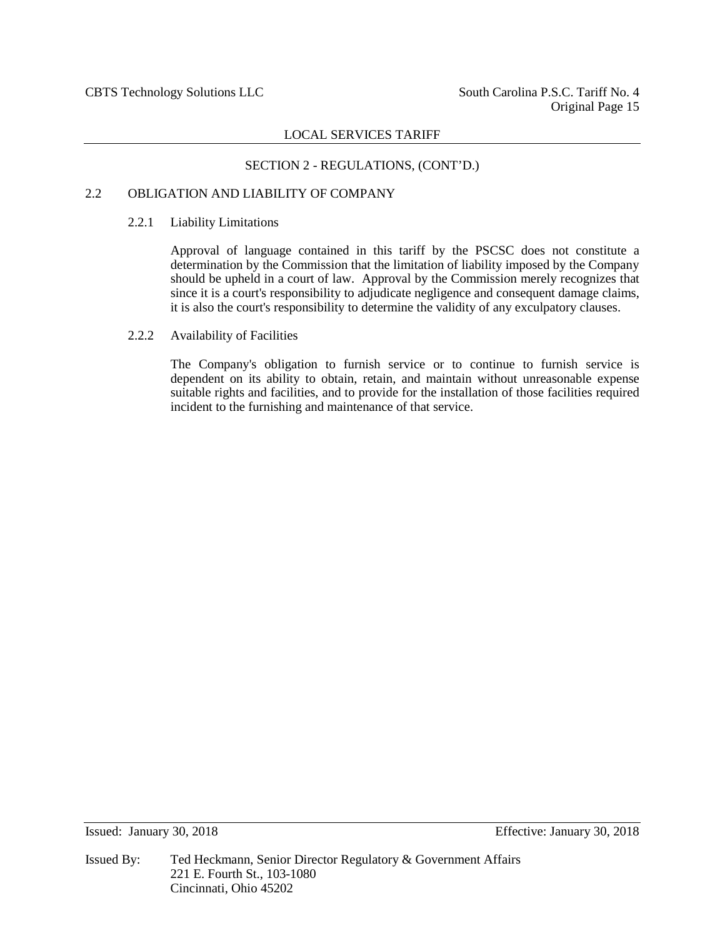## SECTION 2 - REGULATIONS, (CONT'D.)

## 2.2 OBLIGATION AND LIABILITY OF COMPANY

## 2.2.1 Liability Limitations

Approval of language contained in this tariff by the PSCSC does not constitute a determination by the Commission that the limitation of liability imposed by the Company should be upheld in a court of law. Approval by the Commission merely recognizes that since it is a court's responsibility to adjudicate negligence and consequent damage claims, it is also the court's responsibility to determine the validity of any exculpatory clauses.

## 2.2.2 Availability of Facilities

The Company's obligation to furnish service or to continue to furnish service is dependent on its ability to obtain, retain, and maintain without unreasonable expense suitable rights and facilities, and to provide for the installation of those facilities required incident to the furnishing and maintenance of that service.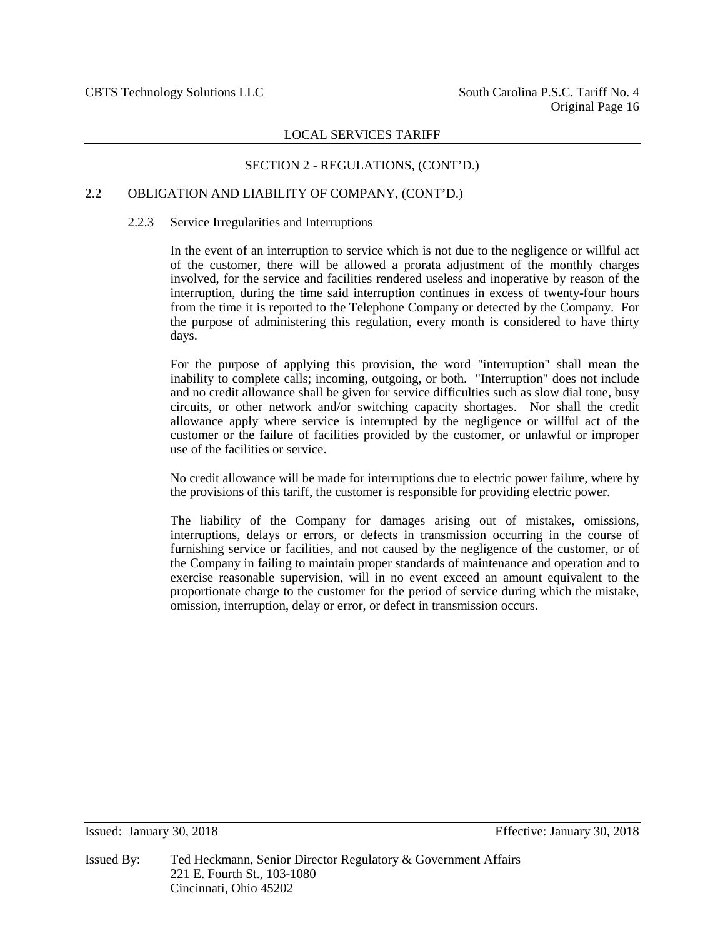## SECTION 2 - REGULATIONS, (CONT'D.)

#### 2.2 OBLIGATION AND LIABILITY OF COMPANY, (CONT'D.)

#### 2.2.3 Service Irregularities and Interruptions

In the event of an interruption to service which is not due to the negligence or willful act of the customer, there will be allowed a prorata adjustment of the monthly charges involved, for the service and facilities rendered useless and inoperative by reason of the interruption, during the time said interruption continues in excess of twenty-four hours from the time it is reported to the Telephone Company or detected by the Company. For the purpose of administering this regulation, every month is considered to have thirty days.

For the purpose of applying this provision, the word "interruption" shall mean the inability to complete calls; incoming, outgoing, or both. "Interruption" does not include and no credit allowance shall be given for service difficulties such as slow dial tone, busy circuits, or other network and/or switching capacity shortages. Nor shall the credit allowance apply where service is interrupted by the negligence or willful act of the customer or the failure of facilities provided by the customer, or unlawful or improper use of the facilities or service.

No credit allowance will be made for interruptions due to electric power failure, where by the provisions of this tariff, the customer is responsible for providing electric power.

The liability of the Company for damages arising out of mistakes, omissions, interruptions, delays or errors, or defects in transmission occurring in the course of furnishing service or facilities, and not caused by the negligence of the customer, or of the Company in failing to maintain proper standards of maintenance and operation and to exercise reasonable supervision, will in no event exceed an amount equivalent to the proportionate charge to the customer for the period of service during which the mistake, omission, interruption, delay or error, or defect in transmission occurs.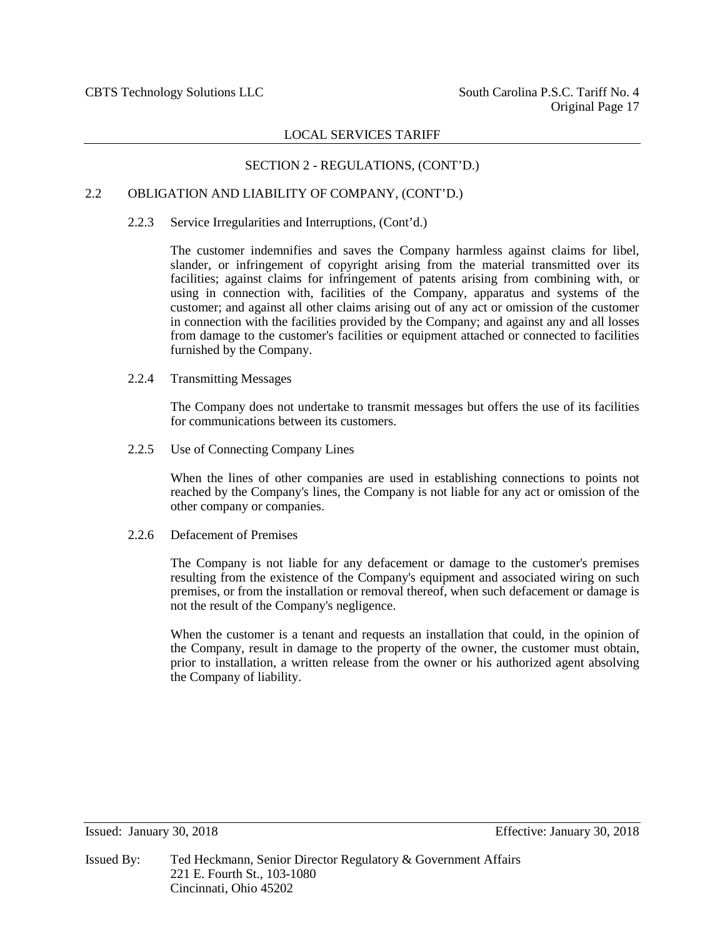## SECTION 2 - REGULATIONS, (CONT'D.)

#### 2.2 OBLIGATION AND LIABILITY OF COMPANY, (CONT'D.)

#### 2.2.3 Service Irregularities and Interruptions, (Cont'd.)

The customer indemnifies and saves the Company harmless against claims for libel, slander, or infringement of copyright arising from the material transmitted over its facilities; against claims for infringement of patents arising from combining with, or using in connection with, facilities of the Company, apparatus and systems of the customer; and against all other claims arising out of any act or omission of the customer in connection with the facilities provided by the Company; and against any and all losses from damage to the customer's facilities or equipment attached or connected to facilities furnished by the Company.

#### 2.2.4 Transmitting Messages

The Company does not undertake to transmit messages but offers the use of its facilities for communications between its customers.

2.2.5 Use of Connecting Company Lines

When the lines of other companies are used in establishing connections to points not reached by the Company's lines, the Company is not liable for any act or omission of the other company or companies.

#### 2.2.6 Defacement of Premises

The Company is not liable for any defacement or damage to the customer's premises resulting from the existence of the Company's equipment and associated wiring on such premises, or from the installation or removal thereof, when such defacement or damage is not the result of the Company's negligence.

When the customer is a tenant and requests an installation that could, in the opinion of the Company, result in damage to the property of the owner, the customer must obtain, prior to installation, a written release from the owner or his authorized agent absolving the Company of liability.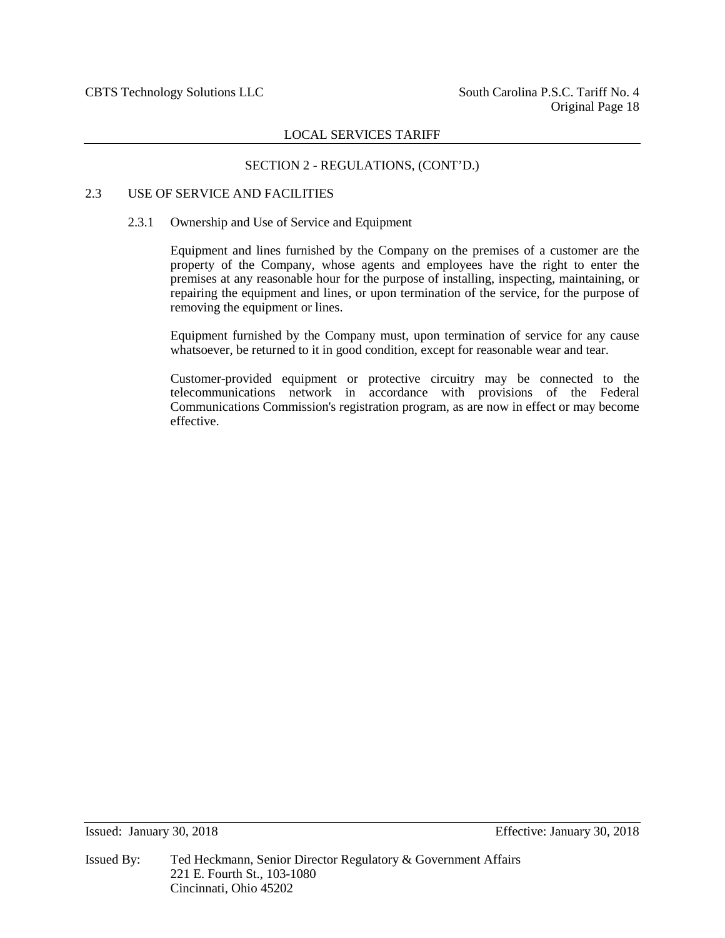## SECTION 2 - REGULATIONS, (CONT'D.)

## 2.3 USE OF SERVICE AND FACILITIES

#### 2.3.1 Ownership and Use of Service and Equipment

Equipment and lines furnished by the Company on the premises of a customer are the property of the Company, whose agents and employees have the right to enter the premises at any reasonable hour for the purpose of installing, inspecting, maintaining, or repairing the equipment and lines, or upon termination of the service, for the purpose of removing the equipment or lines.

Equipment furnished by the Company must, upon termination of service for any cause whatsoever, be returned to it in good condition, except for reasonable wear and tear.

Customer-provided equipment or protective circuitry may be connected to the telecommunications network in accordance with provisions of the Federal Communications Commission's registration program, as are now in effect or may become effective.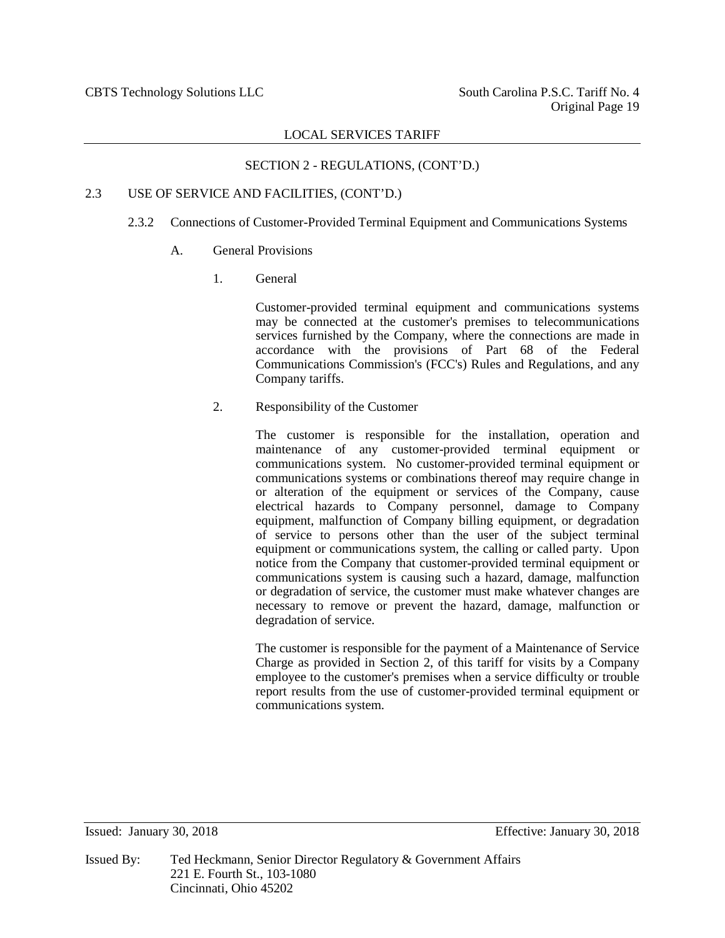## SECTION 2 - REGULATIONS, (CONT'D.)

## 2.3 USE OF SERVICE AND FACILITIES, (CONT'D.)

## 2.3.2 Connections of Customer-Provided Terminal Equipment and Communications Systems

## A. General Provisions

1. General

Customer-provided terminal equipment and communications systems may be connected at the customer's premises to telecommunications services furnished by the Company, where the connections are made in accordance with the provisions of Part 68 of the Federal Communications Commission's (FCC's) Rules and Regulations, and any Company tariffs.

## 2. Responsibility of the Customer

The customer is responsible for the installation, operation and maintenance of any customer-provided terminal equipment or communications system. No customer-provided terminal equipment or communications systems or combinations thereof may require change in or alteration of the equipment or services of the Company, cause electrical hazards to Company personnel, damage to Company equipment, malfunction of Company billing equipment, or degradation of service to persons other than the user of the subject terminal equipment or communications system, the calling or called party. Upon notice from the Company that customer-provided terminal equipment or communications system is causing such a hazard, damage, malfunction or degradation of service, the customer must make whatever changes are necessary to remove or prevent the hazard, damage, malfunction or degradation of service.

The customer is responsible for the payment of a Maintenance of Service Charge as provided in Section 2, of this tariff for visits by a Company employee to the customer's premises when a service difficulty or trouble report results from the use of customer-provided terminal equipment or communications system.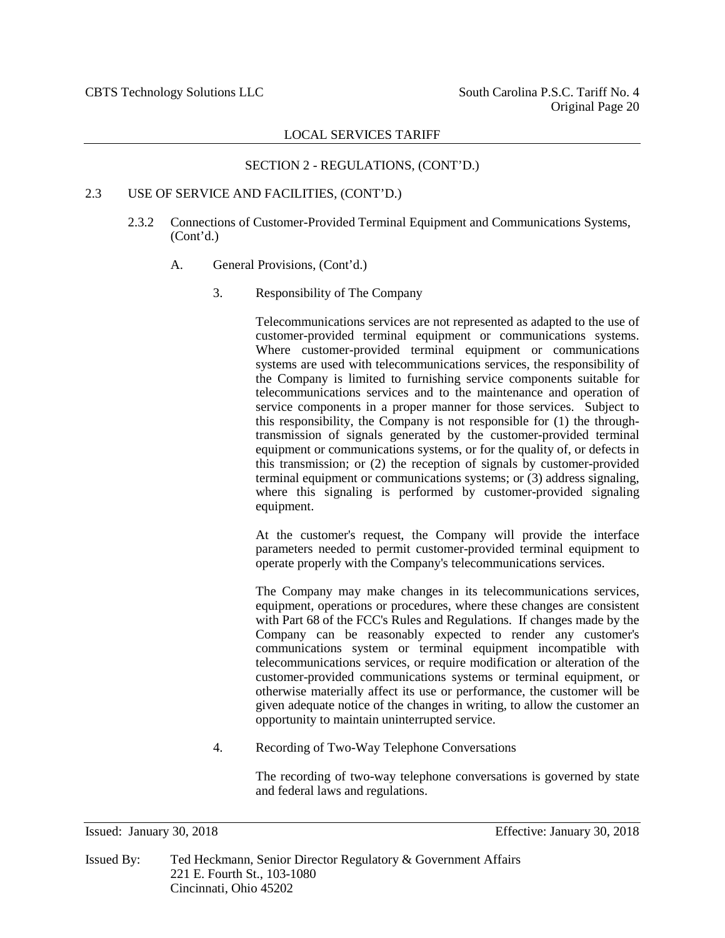## SECTION 2 - REGULATIONS, (CONT'D.)

#### 2.3 USE OF SERVICE AND FACILITIES, (CONT'D.)

- 2.3.2 Connections of Customer-Provided Terminal Equipment and Communications Systems, (Cont'd.)
	- A. General Provisions, (Cont'd.)
		- 3. Responsibility of The Company

Telecommunications services are not represented as adapted to the use of customer-provided terminal equipment or communications systems. Where customer-provided terminal equipment or communications systems are used with telecommunications services, the responsibility of the Company is limited to furnishing service components suitable for telecommunications services and to the maintenance and operation of service components in a proper manner for those services. Subject to this responsibility, the Company is not responsible for (1) the throughtransmission of signals generated by the customer-provided terminal equipment or communications systems, or for the quality of, or defects in this transmission; or (2) the reception of signals by customer-provided terminal equipment or communications systems; or (3) address signaling, where this signaling is performed by customer-provided signaling equipment.

At the customer's request, the Company will provide the interface parameters needed to permit customer-provided terminal equipment to operate properly with the Company's telecommunications services.

The Company may make changes in its telecommunications services, equipment, operations or procedures, where these changes are consistent with Part 68 of the FCC's Rules and Regulations. If changes made by the Company can be reasonably expected to render any customer's communications system or terminal equipment incompatible with telecommunications services, or require modification or alteration of the customer-provided communications systems or terminal equipment, or otherwise materially affect its use or performance, the customer will be given adequate notice of the changes in writing, to allow the customer an opportunity to maintain uninterrupted service.

4. Recording of Two-Way Telephone Conversations

The recording of two-way telephone conversations is governed by state and federal laws and regulations.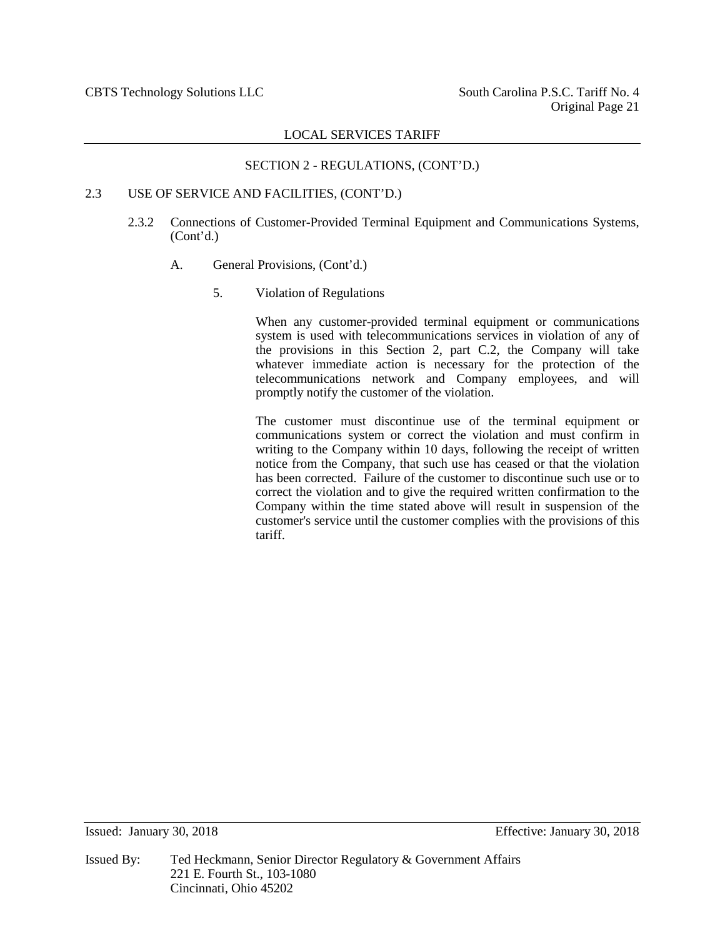## SECTION 2 - REGULATIONS, (CONT'D.)

## 2.3 USE OF SERVICE AND FACILITIES, (CONT'D.)

- 2.3.2 Connections of Customer-Provided Terminal Equipment and Communications Systems, (Cont'd.)
	- A. General Provisions, (Cont'd.)
		- 5. Violation of Regulations

When any customer-provided terminal equipment or communications system is used with telecommunications services in violation of any of the provisions in this Section 2, part C.2, the Company will take whatever immediate action is necessary for the protection of the telecommunications network and Company employees, and will promptly notify the customer of the violation.

The customer must discontinue use of the terminal equipment or communications system or correct the violation and must confirm in writing to the Company within 10 days, following the receipt of written notice from the Company, that such use has ceased or that the violation has been corrected. Failure of the customer to discontinue such use or to correct the violation and to give the required written confirmation to the Company within the time stated above will result in suspension of the customer's service until the customer complies with the provisions of this tariff.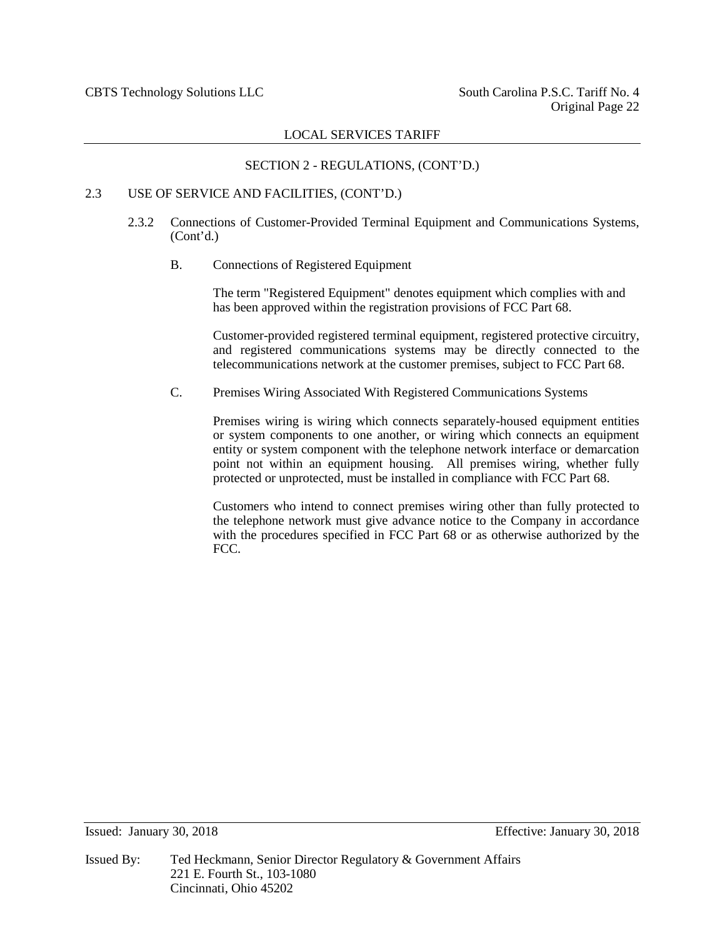## SECTION 2 - REGULATIONS, (CONT'D.)

## 2.3 USE OF SERVICE AND FACILITIES, (CONT'D.)

- 2.3.2 Connections of Customer-Provided Terminal Equipment and Communications Systems, (Cont'd.)
	- B. Connections of Registered Equipment

The term "Registered Equipment" denotes equipment which complies with and has been approved within the registration provisions of FCC Part 68.

Customer-provided registered terminal equipment, registered protective circuitry, and registered communications systems may be directly connected to the telecommunications network at the customer premises, subject to FCC Part 68.

C. Premises Wiring Associated With Registered Communications Systems

Premises wiring is wiring which connects separately-housed equipment entities or system components to one another, or wiring which connects an equipment entity or system component with the telephone network interface or demarcation point not within an equipment housing. All premises wiring, whether fully protected or unprotected, must be installed in compliance with FCC Part 68.

Customers who intend to connect premises wiring other than fully protected to the telephone network must give advance notice to the Company in accordance with the procedures specified in FCC Part 68 or as otherwise authorized by the FCC.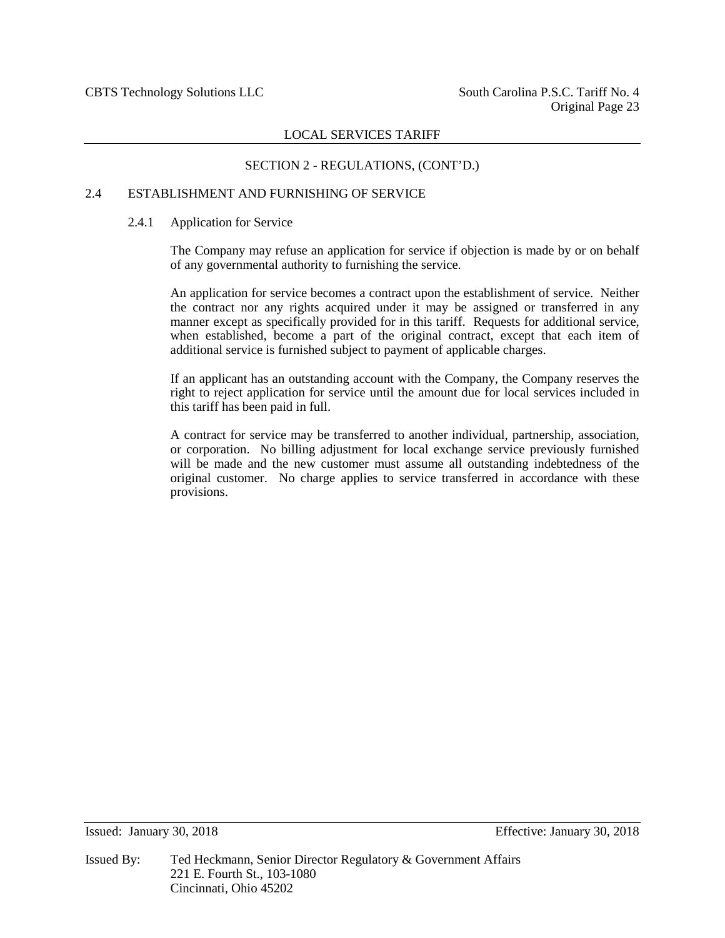## SECTION 2 - REGULATIONS, (CONT'D.)

#### 2.4 ESTABLISHMENT AND FURNISHING OF SERVICE

#### 2.4.1 Application for Service

The Company may refuse an application for service if objection is made by or on behalf of any governmental authority to furnishing the service.

An application for service becomes a contract upon the establishment of service. Neither the contract nor any rights acquired under it may be assigned or transferred in any manner except as specifically provided for in this tariff. Requests for additional service, when established, become a part of the original contract, except that each item of additional service is furnished subject to payment of applicable charges.

If an applicant has an outstanding account with the Company, the Company reserves the right to reject application for service until the amount due for local services included in this tariff has been paid in full.

A contract for service may be transferred to another individual, partnership, association, or corporation. No billing adjustment for local exchange service previously furnished will be made and the new customer must assume all outstanding indebtedness of the original customer. No charge applies to service transferred in accordance with these provisions.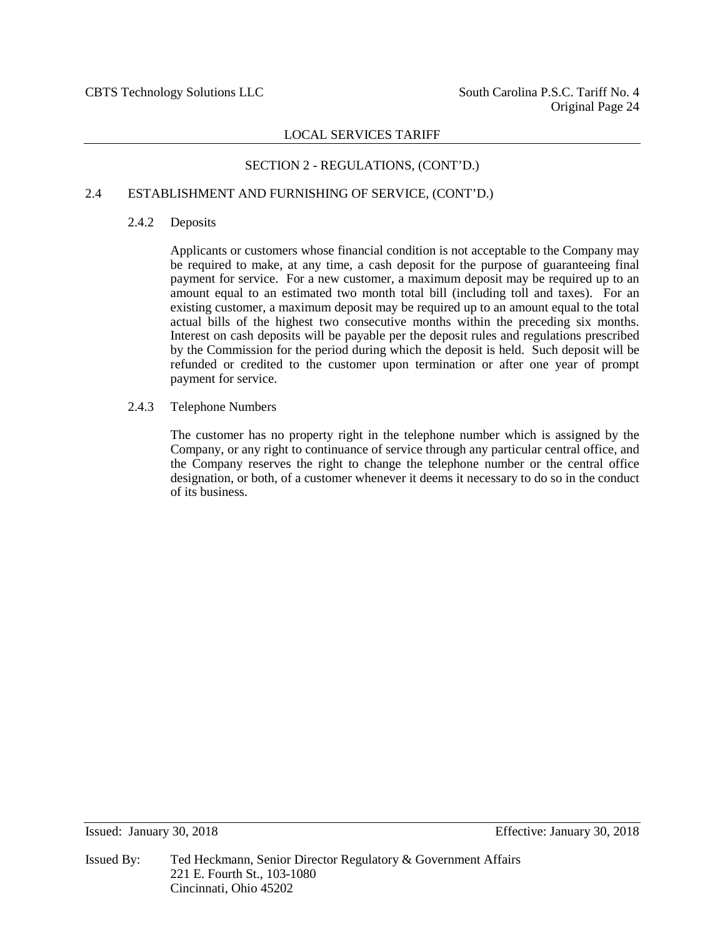## SECTION 2 - REGULATIONS, (CONT'D.)

## 2.4 ESTABLISHMENT AND FURNISHING OF SERVICE, (CONT'D.)

#### 2.4.2 Deposits

Applicants or customers whose financial condition is not acceptable to the Company may be required to make, at any time, a cash deposit for the purpose of guaranteeing final payment for service. For a new customer, a maximum deposit may be required up to an amount equal to an estimated two month total bill (including toll and taxes). For an existing customer, a maximum deposit may be required up to an amount equal to the total actual bills of the highest two consecutive months within the preceding six months. Interest on cash deposits will be payable per the deposit rules and regulations prescribed by the Commission for the period during which the deposit is held. Such deposit will be refunded or credited to the customer upon termination or after one year of prompt payment for service.

2.4.3 Telephone Numbers

The customer has no property right in the telephone number which is assigned by the Company, or any right to continuance of service through any particular central office, and the Company reserves the right to change the telephone number or the central office designation, or both, of a customer whenever it deems it necessary to do so in the conduct of its business.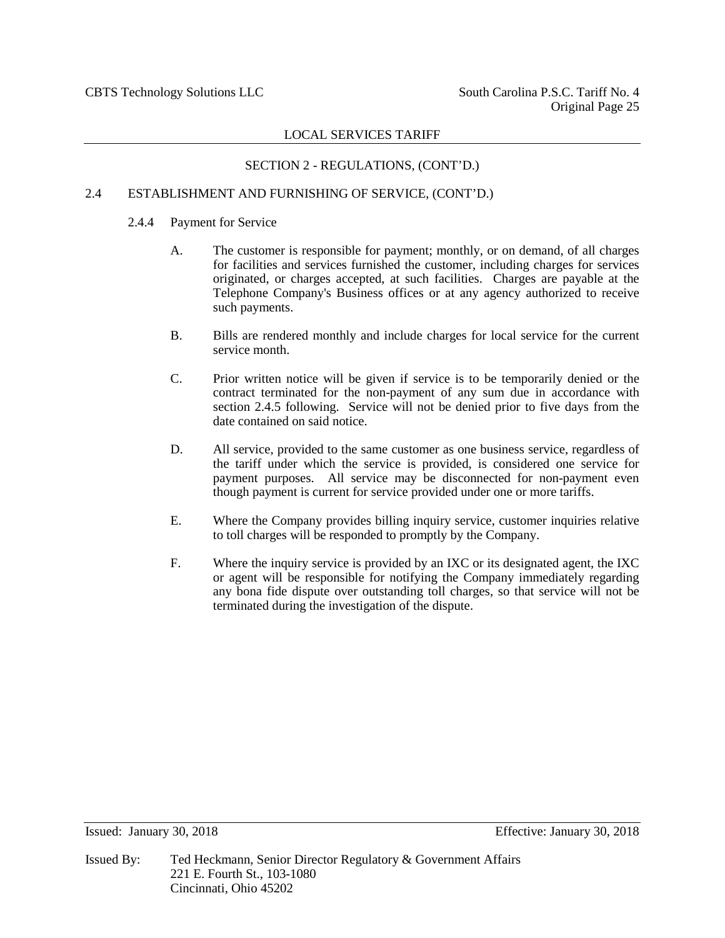## SECTION 2 - REGULATIONS, (CONT'D.)

## 2.4 ESTABLISHMENT AND FURNISHING OF SERVICE, (CONT'D.)

## 2.4.4 Payment for Service

- A. The customer is responsible for payment; monthly, or on demand, of all charges for facilities and services furnished the customer, including charges for services originated, or charges accepted, at such facilities. Charges are payable at the Telephone Company's Business offices or at any agency authorized to receive such payments.
- B. Bills are rendered monthly and include charges for local service for the current service month.
- C. Prior written notice will be given if service is to be temporarily denied or the contract terminated for the non-payment of any sum due in accordance with section 2.4.5 following. Service will not be denied prior to five days from the date contained on said notice.
- D. All service, provided to the same customer as one business service, regardless of the tariff under which the service is provided, is considered one service for payment purposes. All service may be disconnected for non-payment even though payment is current for service provided under one or more tariffs.
- E. Where the Company provides billing inquiry service, customer inquiries relative to toll charges will be responded to promptly by the Company.
- F. Where the inquiry service is provided by an IXC or its designated agent, the IXC or agent will be responsible for notifying the Company immediately regarding any bona fide dispute over outstanding toll charges, so that service will not be terminated during the investigation of the dispute.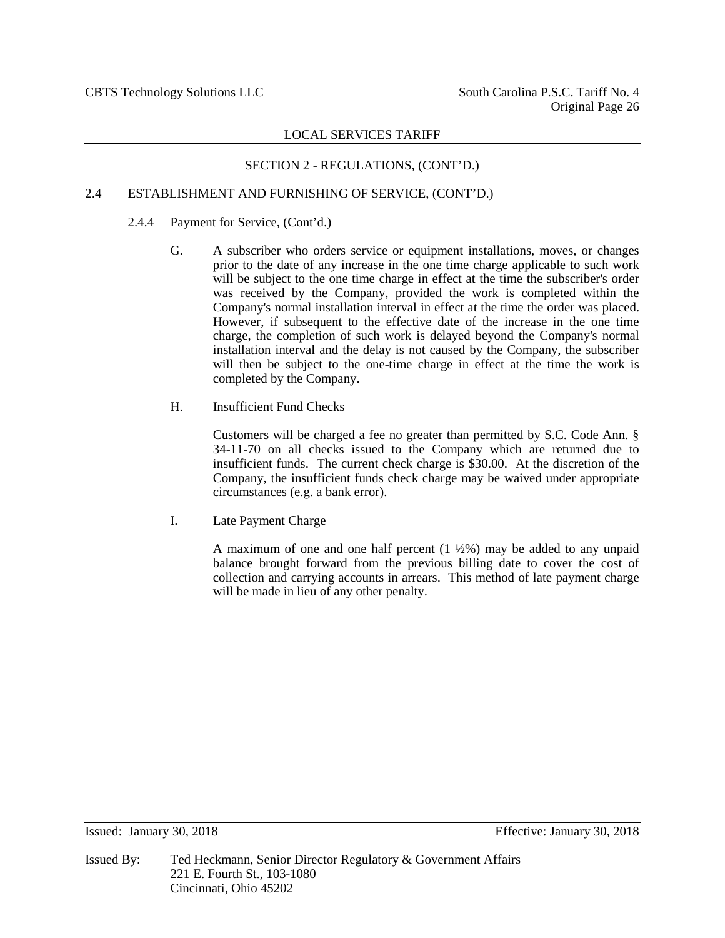## SECTION 2 - REGULATIONS, (CONT'D.)

## 2.4 ESTABLISHMENT AND FURNISHING OF SERVICE, (CONT'D.)

## 2.4.4 Payment for Service, (Cont'd.)

- G. A subscriber who orders service or equipment installations, moves, or changes prior to the date of any increase in the one time charge applicable to such work will be subject to the one time charge in effect at the time the subscriber's order was received by the Company, provided the work is completed within the Company's normal installation interval in effect at the time the order was placed. However, if subsequent to the effective date of the increase in the one time charge, the completion of such work is delayed beyond the Company's normal installation interval and the delay is not caused by the Company, the subscriber will then be subject to the one-time charge in effect at the time the work is completed by the Company.
- H. Insufficient Fund Checks

Customers will be charged a fee no greater than permitted by S.C. Code Ann. § 34-11-70 on all checks issued to the Company which are returned due to insufficient funds. The current check charge is \$30.00. At the discretion of the Company, the insufficient funds check charge may be waived under appropriate circumstances (e.g. a bank error).

I. Late Payment Charge

A maximum of one and one half percent  $(1 \frac{1}{2}\%)$  may be added to any unpaid balance brought forward from the previous billing date to cover the cost of collection and carrying accounts in arrears. This method of late payment charge will be made in lieu of any other penalty.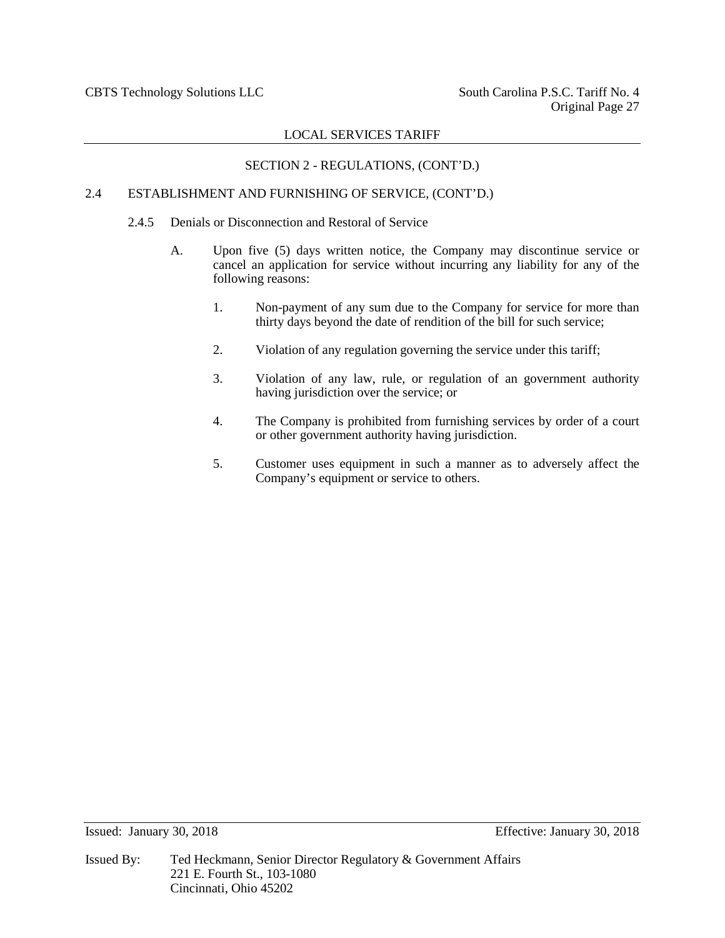## SECTION 2 - REGULATIONS, (CONT'D.)

#### 2.4 ESTABLISHMENT AND FURNISHING OF SERVICE, (CONT'D.)

#### 2.4.5 Denials or Disconnection and Restoral of Service

- A. Upon five (5) days written notice, the Company may discontinue service or cancel an application for service without incurring any liability for any of the following reasons:
	- 1. Non-payment of any sum due to the Company for service for more than thirty days beyond the date of rendition of the bill for such service;
	- 2. Violation of any regulation governing the service under this tariff;
	- 3. Violation of any law, rule, or regulation of an government authority having jurisdiction over the service; or
	- 4. The Company is prohibited from furnishing services by order of a court or other government authority having jurisdiction.
	- 5. Customer uses equipment in such a manner as to adversely affect the Company's equipment or service to others.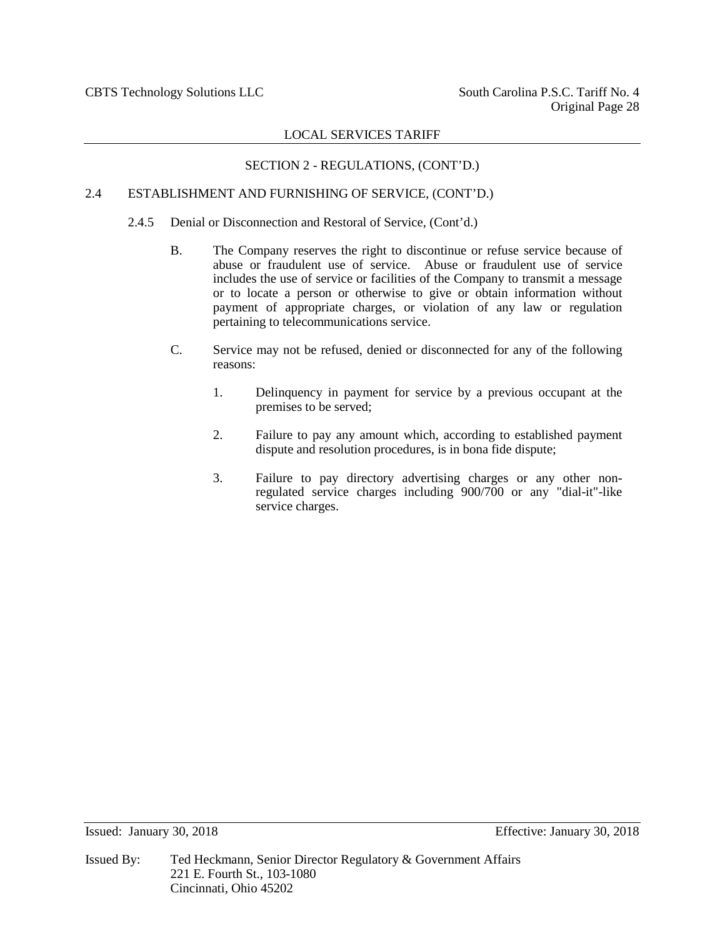## SECTION 2 - REGULATIONS, (CONT'D.)

## 2.4 ESTABLISHMENT AND FURNISHING OF SERVICE, (CONT'D.)

- 2.4.5 Denial or Disconnection and Restoral of Service, (Cont'd.)
	- B. The Company reserves the right to discontinue or refuse service because of abuse or fraudulent use of service. Abuse or fraudulent use of service includes the use of service or facilities of the Company to transmit a message or to locate a person or otherwise to give or obtain information without payment of appropriate charges, or violation of any law or regulation pertaining to telecommunications service.
	- C. Service may not be refused, denied or disconnected for any of the following reasons:
		- 1. Delinquency in payment for service by a previous occupant at the premises to be served;
		- 2. Failure to pay any amount which, according to established payment dispute and resolution procedures, is in bona fide dispute;
		- 3. Failure to pay directory advertising charges or any other nonregulated service charges including 900/700 or any "dial-it"-like service charges.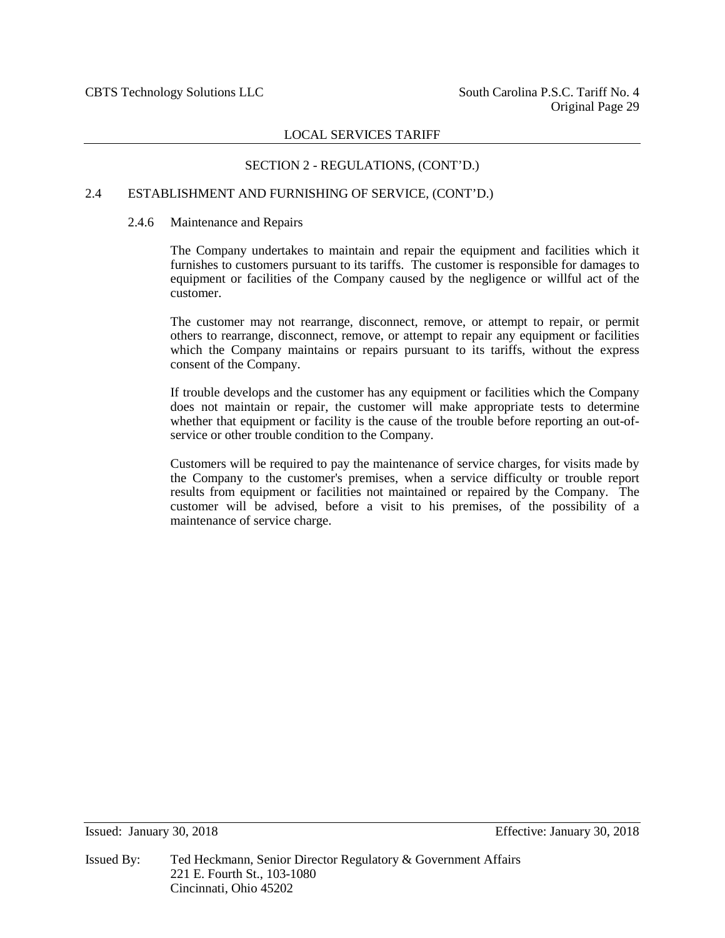## SECTION 2 - REGULATIONS, (CONT'D.)

## 2.4 ESTABLISHMENT AND FURNISHING OF SERVICE, (CONT'D.)

#### 2.4.6 Maintenance and Repairs

The Company undertakes to maintain and repair the equipment and facilities which it furnishes to customers pursuant to its tariffs. The customer is responsible for damages to equipment or facilities of the Company caused by the negligence or willful act of the customer.

The customer may not rearrange, disconnect, remove, or attempt to repair, or permit others to rearrange, disconnect, remove, or attempt to repair any equipment or facilities which the Company maintains or repairs pursuant to its tariffs, without the express consent of the Company.

If trouble develops and the customer has any equipment or facilities which the Company does not maintain or repair, the customer will make appropriate tests to determine whether that equipment or facility is the cause of the trouble before reporting an out-ofservice or other trouble condition to the Company.

Customers will be required to pay the maintenance of service charges, for visits made by the Company to the customer's premises, when a service difficulty or trouble report results from equipment or facilities not maintained or repaired by the Company. The customer will be advised, before a visit to his premises, of the possibility of a maintenance of service charge.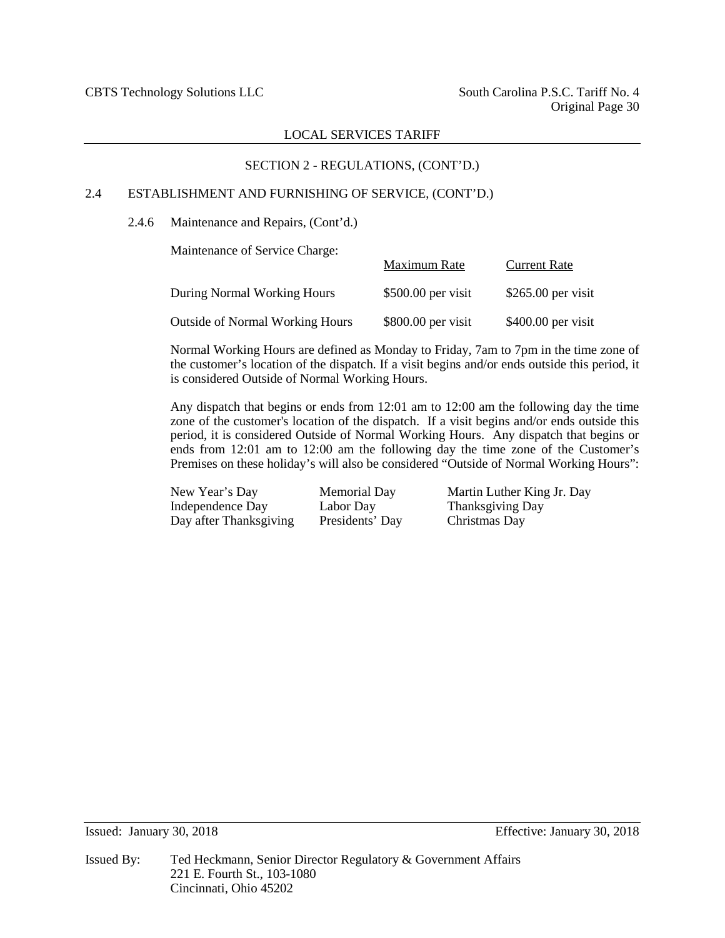## SECTION 2 - REGULATIONS, (CONT'D.)

## 2.4 ESTABLISHMENT AND FURNISHING OF SERVICE, (CONT'D.)

2.4.6 Maintenance and Repairs, (Cont'd.)

Maintenance of Service Charge:

|                                        | Maximum Rate        | <b>Current Rate</b> |
|----------------------------------------|---------------------|---------------------|
| During Normal Working Hours            | $$500.00$ per visit | $$265.00$ per visit |
| <b>Outside of Normal Working Hours</b> | $$800.00$ per visit | $$400.00$ per visit |

Normal Working Hours are defined as Monday to Friday, 7am to 7pm in the time zone of the customer's location of the dispatch. If a visit begins and/or ends outside this period, it is considered Outside of Normal Working Hours.

Any dispatch that begins or ends from 12:01 am to 12:00 am the following day the time zone of the customer's location of the dispatch. If a visit begins and/or ends outside this period, it is considered Outside of Normal Working Hours. Any dispatch that begins or ends from 12:01 am to 12:00 am the following day the time zone of the Customer's Premises on these holiday's will also be considered "Outside of Normal Working Hours":

| New Year's Day         | Memorial Day    |
|------------------------|-----------------|
| Independence Day       | Labor Day       |
| Day after Thanksgiving | Presidents' Day |

Martin Luther King Jr. Day Thanksgiving Day y Christmas Day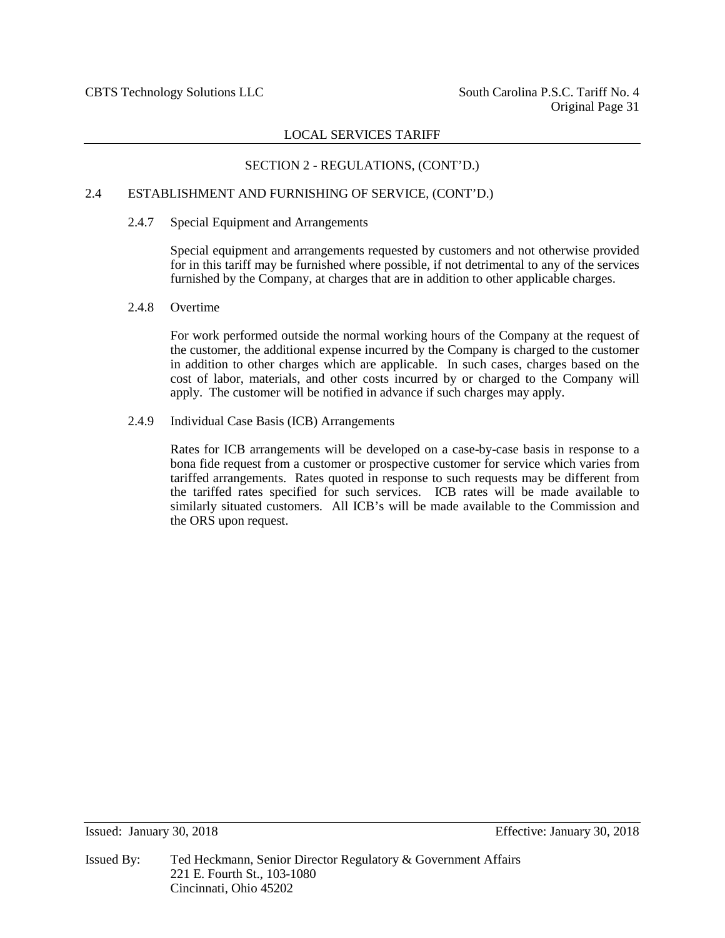## SECTION 2 - REGULATIONS, (CONT'D.)

#### 2.4 ESTABLISHMENT AND FURNISHING OF SERVICE, (CONT'D.)

#### 2.4.7 Special Equipment and Arrangements

Special equipment and arrangements requested by customers and not otherwise provided for in this tariff may be furnished where possible, if not detrimental to any of the services furnished by the Company, at charges that are in addition to other applicable charges.

#### 2.4.8 Overtime

For work performed outside the normal working hours of the Company at the request of the customer, the additional expense incurred by the Company is charged to the customer in addition to other charges which are applicable. In such cases, charges based on the cost of labor, materials, and other costs incurred by or charged to the Company will apply. The customer will be notified in advance if such charges may apply.

#### 2.4.9 Individual Case Basis (ICB) Arrangements

Rates for ICB arrangements will be developed on a case-by-case basis in response to a bona fide request from a customer or prospective customer for service which varies from tariffed arrangements. Rates quoted in response to such requests may be different from the tariffed rates specified for such services. ICB rates will be made available to similarly situated customers. All ICB's will be made available to the Commission and the ORS upon request.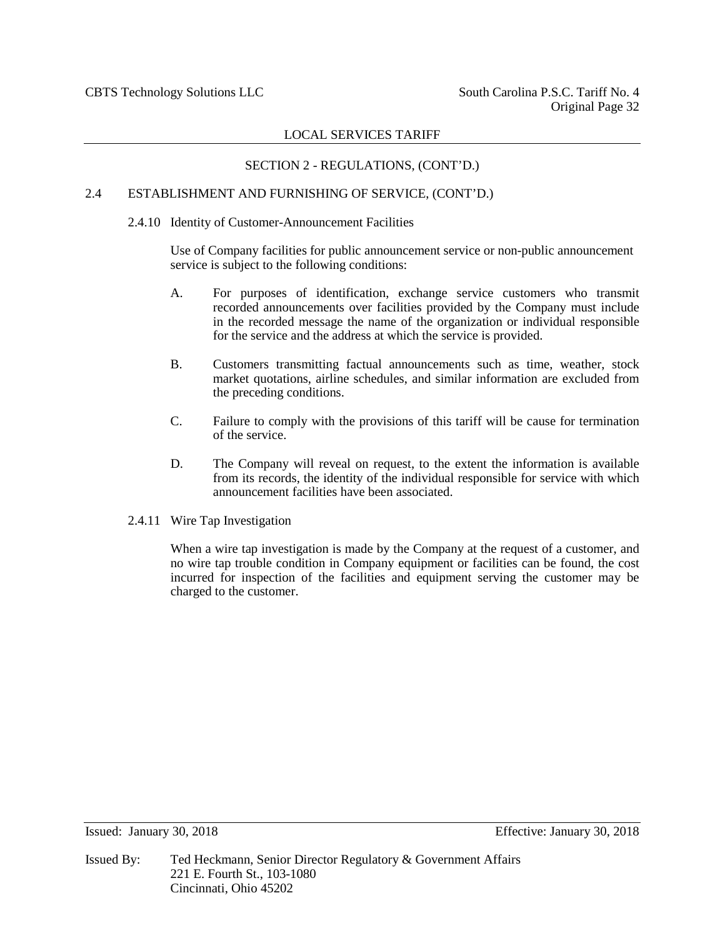## SECTION 2 - REGULATIONS, (CONT'D.)

## 2.4 ESTABLISHMENT AND FURNISHING OF SERVICE, (CONT'D.)

#### 2.4.10 Identity of Customer-Announcement Facilities

Use of Company facilities for public announcement service or non-public announcement service is subject to the following conditions:

- A. For purposes of identification, exchange service customers who transmit recorded announcements over facilities provided by the Company must include in the recorded message the name of the organization or individual responsible for the service and the address at which the service is provided.
- B. Customers transmitting factual announcements such as time, weather, stock market quotations, airline schedules, and similar information are excluded from the preceding conditions.
- C. Failure to comply with the provisions of this tariff will be cause for termination of the service.
- D. The Company will reveal on request, to the extent the information is available from its records, the identity of the individual responsible for service with which announcement facilities have been associated.
- 2.4.11 Wire Tap Investigation

When a wire tap investigation is made by the Company at the request of a customer, and no wire tap trouble condition in Company equipment or facilities can be found, the cost incurred for inspection of the facilities and equipment serving the customer may be charged to the customer.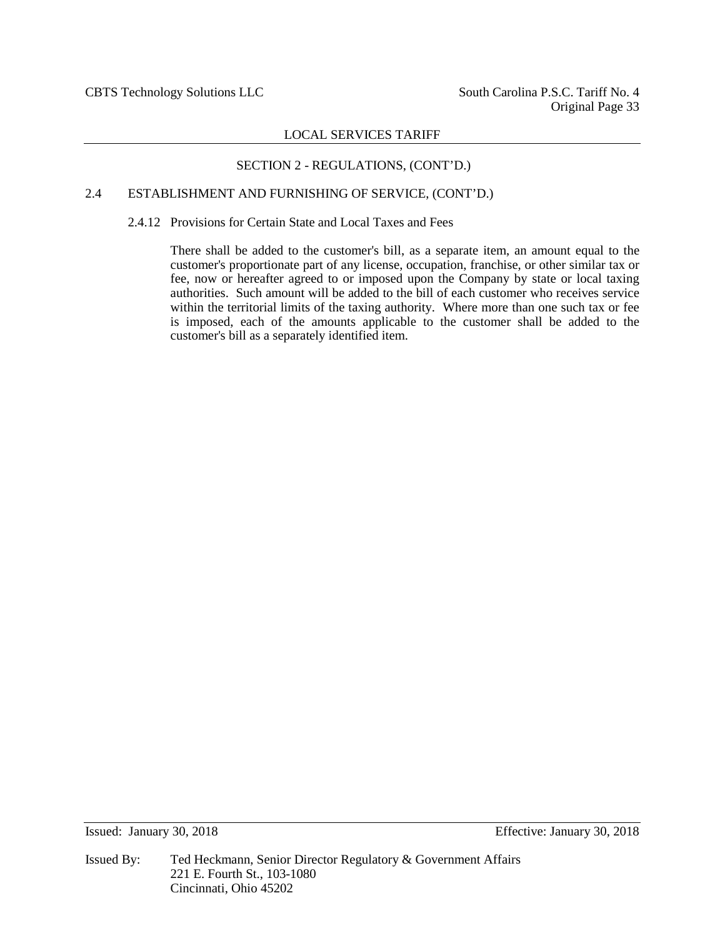## SECTION 2 - REGULATIONS, (CONT'D.)

## 2.4 ESTABLISHMENT AND FURNISHING OF SERVICE, (CONT'D.)

2.4.12 Provisions for Certain State and Local Taxes and Fees

There shall be added to the customer's bill, as a separate item, an amount equal to the customer's proportionate part of any license, occupation, franchise, or other similar tax or fee, now or hereafter agreed to or imposed upon the Company by state or local taxing authorities. Such amount will be added to the bill of each customer who receives service within the territorial limits of the taxing authority. Where more than one such tax or fee is imposed, each of the amounts applicable to the customer shall be added to the customer's bill as a separately identified item.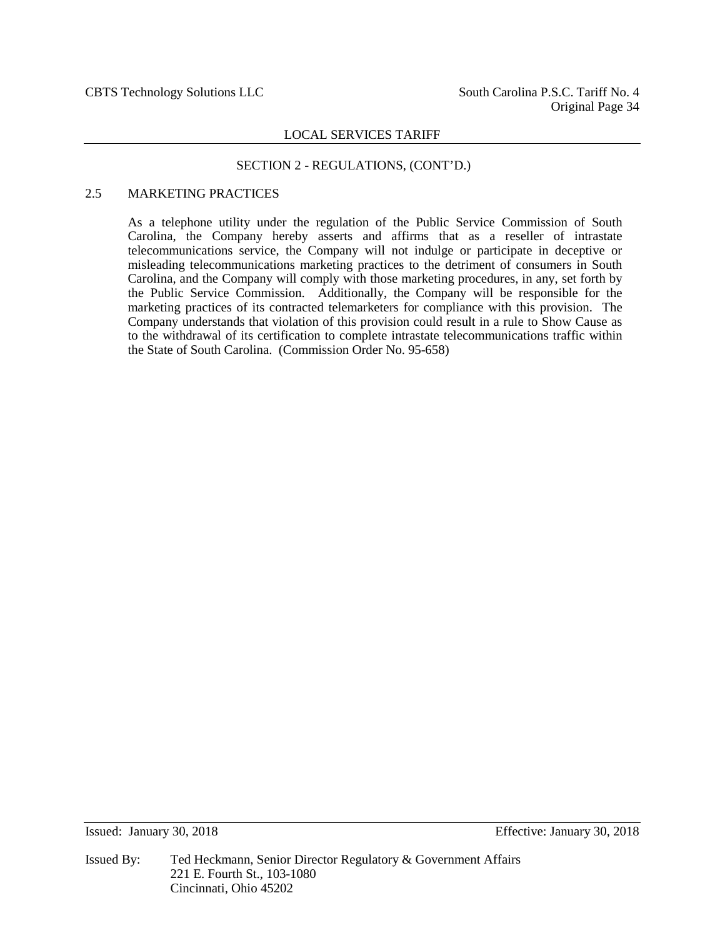#### SECTION 2 - REGULATIONS, (CONT'D.)

## 2.5 MARKETING PRACTICES

As a telephone utility under the regulation of the Public Service Commission of South Carolina, the Company hereby asserts and affirms that as a reseller of intrastate telecommunications service, the Company will not indulge or participate in deceptive or misleading telecommunications marketing practices to the detriment of consumers in South Carolina, and the Company will comply with those marketing procedures, in any, set forth by the Public Service Commission. Additionally, the Company will be responsible for the marketing practices of its contracted telemarketers for compliance with this provision. The Company understands that violation of this provision could result in a rule to Show Cause as to the withdrawal of its certification to complete intrastate telecommunications traffic within the State of South Carolina. (Commission Order No. 95-658)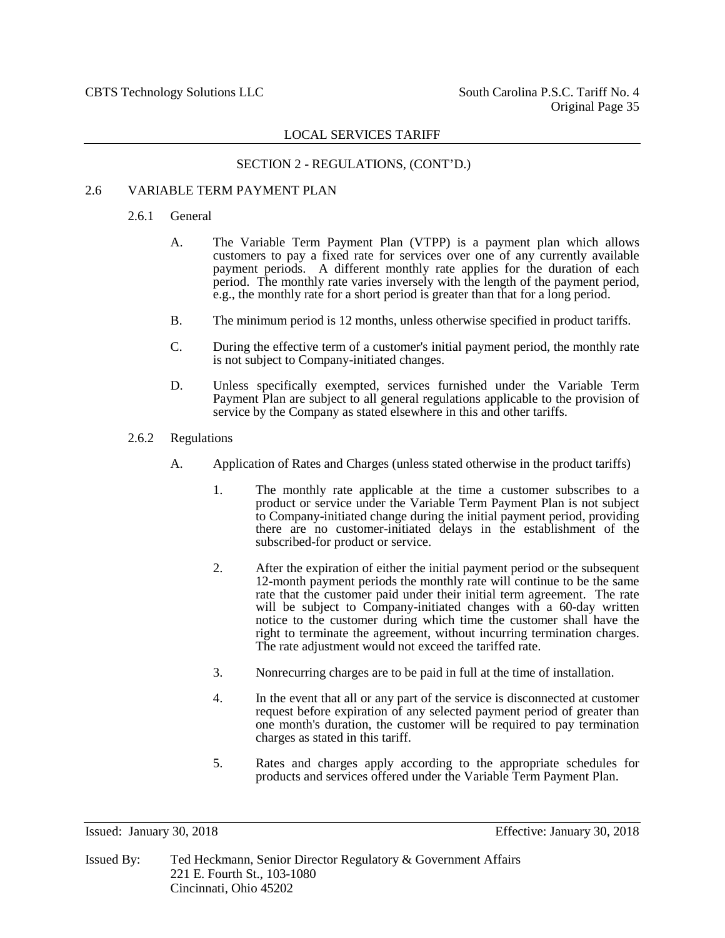#### SECTION 2 - REGULATIONS, (CONT'D.)

## 2.6 VARIABLE TERM PAYMENT PLAN

#### 2.6.1 General

- A. The Variable Term Payment Plan (VTPP) is a payment plan which allows customers to pay a fixed rate for services over one of any currently available payment periods. A different monthly rate applies for the duration of each period. The monthly rate varies inversely with the length of the payment period, e.g., the monthly rate for a short period is greater than that for a long period.
- B. The minimum period is 12 months, unless otherwise specified in product tariffs.
- C. During the effective term of a customer's initial payment period, the monthly rate is not subject to Company-initiated changes.
- D. Unless specifically exempted, services furnished under the Variable Term Payment Plan are subject to all general regulations applicable to the provision of service by the Company as stated elsewhere in this and other tariffs.
- 2.6.2 Regulations
	- A. Application of Rates and Charges (unless stated otherwise in the product tariffs)
		- 1. The monthly rate applicable at the time a customer subscribes to a product or service under the Variable Term Payment Plan is not subject to Company-initiated change during the initial payment period, providing there are no customer-initiated delays in the establishment of the subscribed-for product or service.
		- 2. After the expiration of either the initial payment period or the subsequent 12-month payment periods the monthly rate will continue to be the same rate that the customer paid under their initial term agreement. The rate will be subject to Company-initiated changes with a 60-day written notice to the customer during which time the customer shall have the right to terminate the agreement, without incurring termination charges. The rate adjustment would not exceed the tariffed rate.
		- 3. Nonrecurring charges are to be paid in full at the time of installation.
		- 4. In the event that all or any part of the service is disconnected at customer request before expiration of any selected payment period of greater than one month's duration, the customer will be required to pay termination charges as stated in this tariff.
		- 5. Rates and charges apply according to the appropriate schedules for products and services offered under the Variable Term Payment Plan.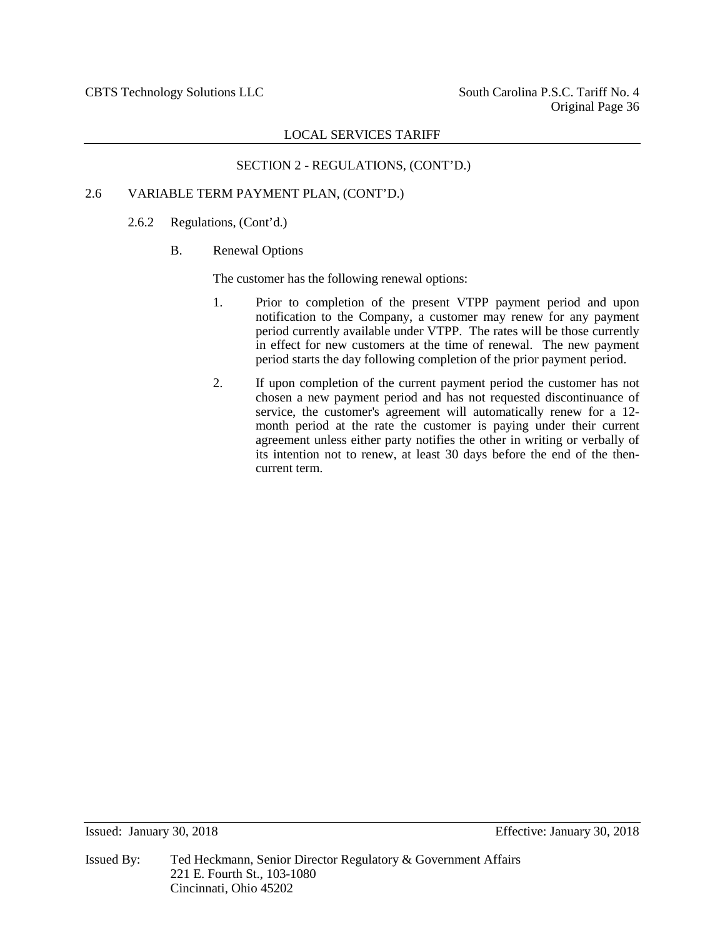## SECTION 2 - REGULATIONS, (CONT'D.)

## 2.6 VARIABLE TERM PAYMENT PLAN, (CONT'D.)

## 2.6.2 Regulations, (Cont'd.)

## B. Renewal Options

The customer has the following renewal options:

- 1. Prior to completion of the present VTPP payment period and upon notification to the Company, a customer may renew for any payment period currently available under VTPP. The rates will be those currently in effect for new customers at the time of renewal. The new payment period starts the day following completion of the prior payment period.
- 2. If upon completion of the current payment period the customer has not chosen a new payment period and has not requested discontinuance of service, the customer's agreement will automatically renew for a 12month period at the rate the customer is paying under their current agreement unless either party notifies the other in writing or verbally of its intention not to renew, at least 30 days before the end of the thencurrent term.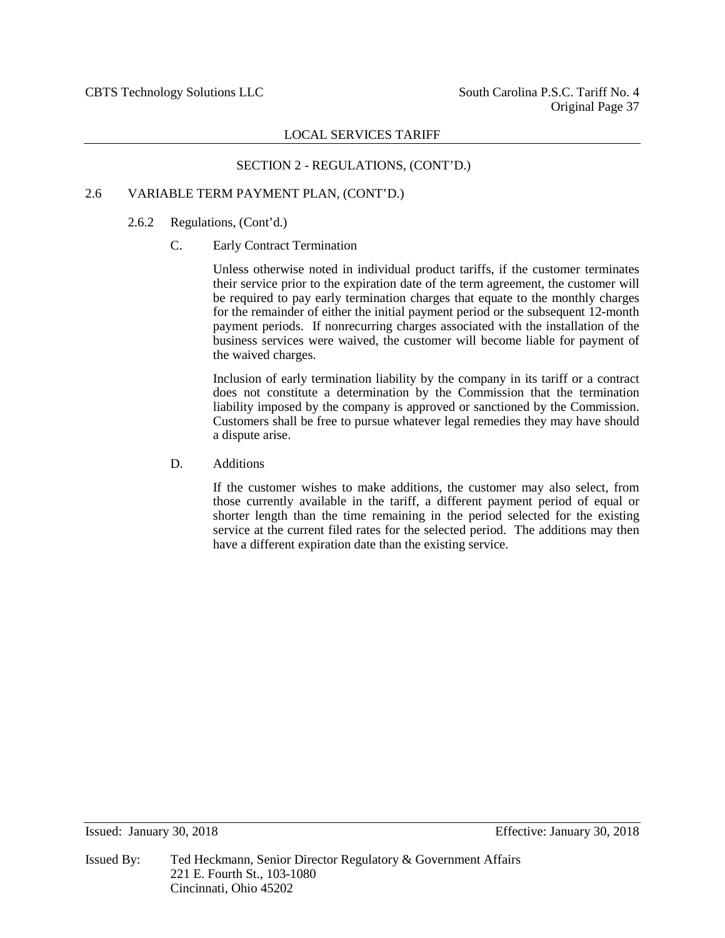## SECTION 2 - REGULATIONS, (CONT'D.)

#### 2.6 VARIABLE TERM PAYMENT PLAN, (CONT'D.)

#### 2.6.2 Regulations, (Cont'd.)

## C. Early Contract Termination

Unless otherwise noted in individual product tariffs, if the customer terminates their service prior to the expiration date of the term agreement, the customer will be required to pay early termination charges that equate to the monthly charges for the remainder of either the initial payment period or the subsequent 12-month payment periods. If nonrecurring charges associated with the installation of the business services were waived, the customer will become liable for payment of the waived charges.

Inclusion of early termination liability by the company in its tariff or a contract does not constitute a determination by the Commission that the termination liability imposed by the company is approved or sanctioned by the Commission. Customers shall be free to pursue whatever legal remedies they may have should a dispute arise.

## D. Additions

If the customer wishes to make additions, the customer may also select, from those currently available in the tariff, a different payment period of equal or shorter length than the time remaining in the period selected for the existing service at the current filed rates for the selected period. The additions may then have a different expiration date than the existing service.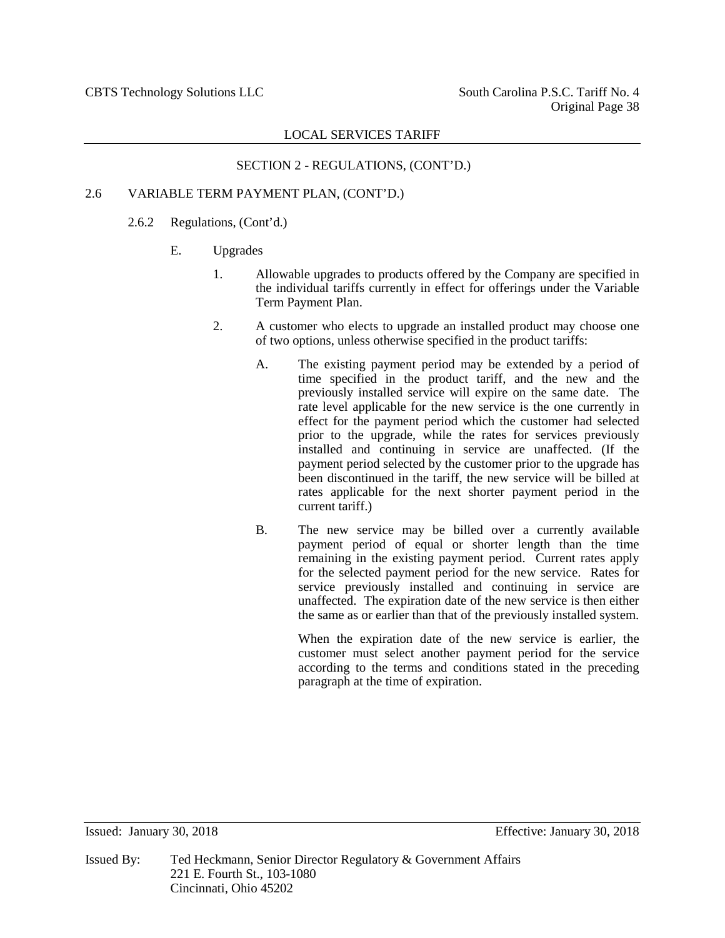## SECTION 2 - REGULATIONS, (CONT'D.)

## 2.6 VARIABLE TERM PAYMENT PLAN, (CONT'D.)

## 2.6.2 Regulations, (Cont'd.)

## E. Upgrades

- 1. Allowable upgrades to products offered by the Company are specified in the individual tariffs currently in effect for offerings under the Variable Term Payment Plan.
- 2. A customer who elects to upgrade an installed product may choose one of two options, unless otherwise specified in the product tariffs:
	- A. The existing payment period may be extended by a period of time specified in the product tariff, and the new and the previously installed service will expire on the same date. The rate level applicable for the new service is the one currently in effect for the payment period which the customer had selected prior to the upgrade, while the rates for services previously installed and continuing in service are unaffected. (If the payment period selected by the customer prior to the upgrade has been discontinued in the tariff, the new service will be billed at rates applicable for the next shorter payment period in the current tariff.)
	- B. The new service may be billed over a currently available payment period of equal or shorter length than the time remaining in the existing payment period. Current rates apply for the selected payment period for the new service. Rates for service previously installed and continuing in service are unaffected. The expiration date of the new service is then either the same as or earlier than that of the previously installed system.

When the expiration date of the new service is earlier, the customer must select another payment period for the service according to the terms and conditions stated in the preceding paragraph at the time of expiration.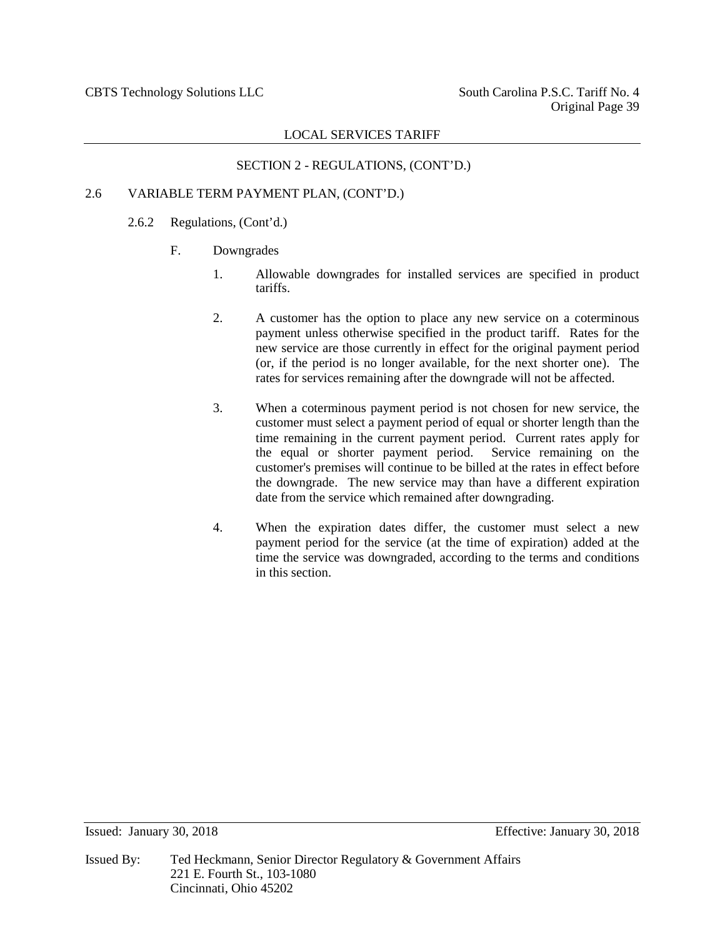## SECTION 2 - REGULATIONS, (CONT'D.)

## 2.6 VARIABLE TERM PAYMENT PLAN, (CONT'D.)

## 2.6.2 Regulations, (Cont'd.)

- F. Downgrades
	- 1. Allowable downgrades for installed services are specified in product tariffs.
	- 2. A customer has the option to place any new service on a coterminous payment unless otherwise specified in the product tariff. Rates for the new service are those currently in effect for the original payment period (or, if the period is no longer available, for the next shorter one). The rates for services remaining after the downgrade will not be affected.
	- 3. When a coterminous payment period is not chosen for new service, the customer must select a payment period of equal or shorter length than the time remaining in the current payment period. Current rates apply for the equal or shorter payment period. Service remaining on the the equal or shorter payment period. customer's premises will continue to be billed at the rates in effect before the downgrade. The new service may than have a different expiration date from the service which remained after downgrading.
	- 4. When the expiration dates differ, the customer must select a new payment period for the service (at the time of expiration) added at the time the service was downgraded, according to the terms and conditions in this section.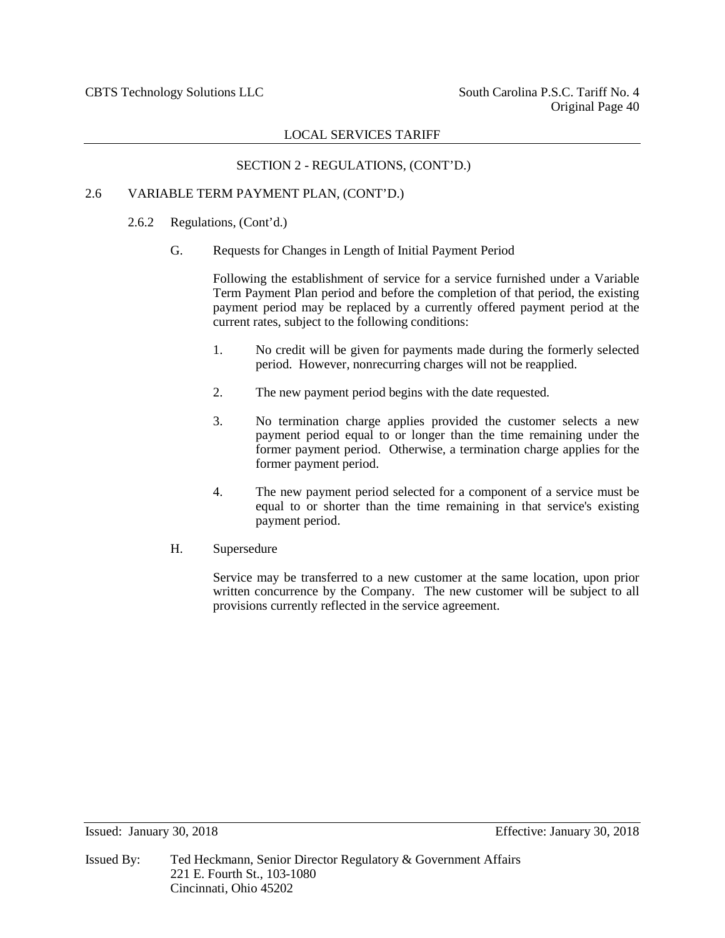## SECTION 2 - REGULATIONS, (CONT'D.)

## 2.6 VARIABLE TERM PAYMENT PLAN, (CONT'D.)

- 2.6.2 Regulations, (Cont'd.)
	- G. Requests for Changes in Length of Initial Payment Period

Following the establishment of service for a service furnished under a Variable Term Payment Plan period and before the completion of that period, the existing payment period may be replaced by a currently offered payment period at the current rates, subject to the following conditions:

- 1. No credit will be given for payments made during the formerly selected period. However, nonrecurring charges will not be reapplied.
- 2. The new payment period begins with the date requested.
- 3. No termination charge applies provided the customer selects a new payment period equal to or longer than the time remaining under the former payment period. Otherwise, a termination charge applies for the former payment period.
- 4. The new payment period selected for a component of a service must be equal to or shorter than the time remaining in that service's existing payment period.
- H. Supersedure

Service may be transferred to a new customer at the same location, upon prior written concurrence by the Company. The new customer will be subject to all provisions currently reflected in the service agreement.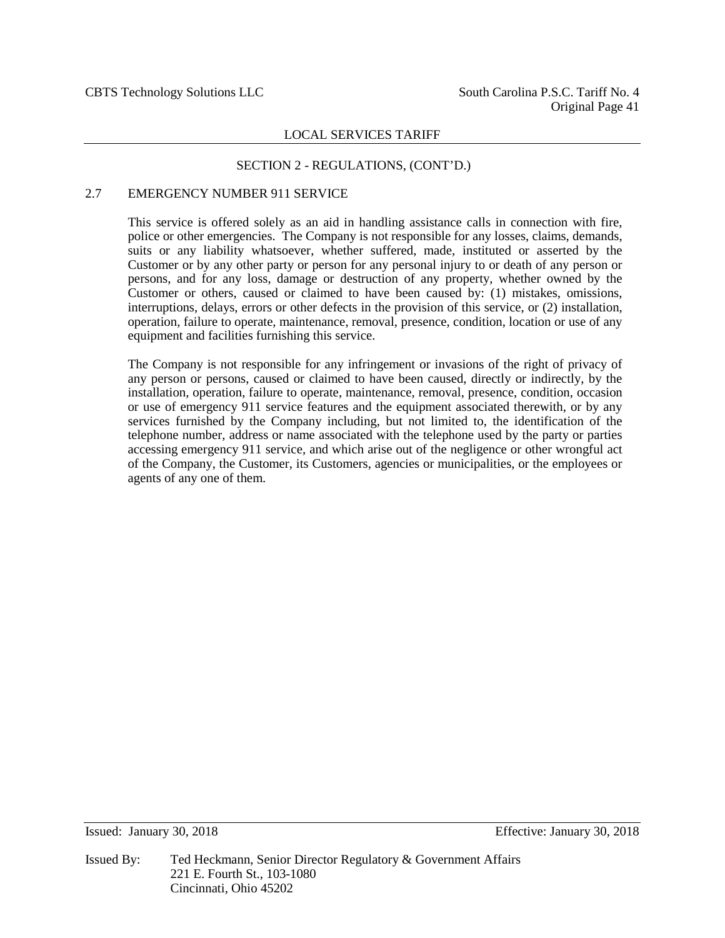#### SECTION 2 - REGULATIONS, (CONT'D.)

## 2.7 EMERGENCY NUMBER 911 SERVICE

This service is offered solely as an aid in handling assistance calls in connection with fire, police or other emergencies. The Company is not responsible for any losses, claims, demands, suits or any liability whatsoever, whether suffered, made, instituted or asserted by the Customer or by any other party or person for any personal injury to or death of any person or persons, and for any loss, damage or destruction of any property, whether owned by the Customer or others, caused or claimed to have been caused by: (1) mistakes, omissions, interruptions, delays, errors or other defects in the provision of this service, or (2) installation, operation, failure to operate, maintenance, removal, presence, condition, location or use of any equipment and facilities furnishing this service.

The Company is not responsible for any infringement or invasions of the right of privacy of any person or persons, caused or claimed to have been caused, directly or indirectly, by the installation, operation, failure to operate, maintenance, removal, presence, condition, occasion or use of emergency 911 service features and the equipment associated therewith, or by any services furnished by the Company including, but not limited to, the identification of the telephone number, address or name associated with the telephone used by the party or parties accessing emergency 911 service, and which arise out of the negligence or other wrongful act of the Company, the Customer, its Customers, agencies or municipalities, or the employees or agents of any one of them.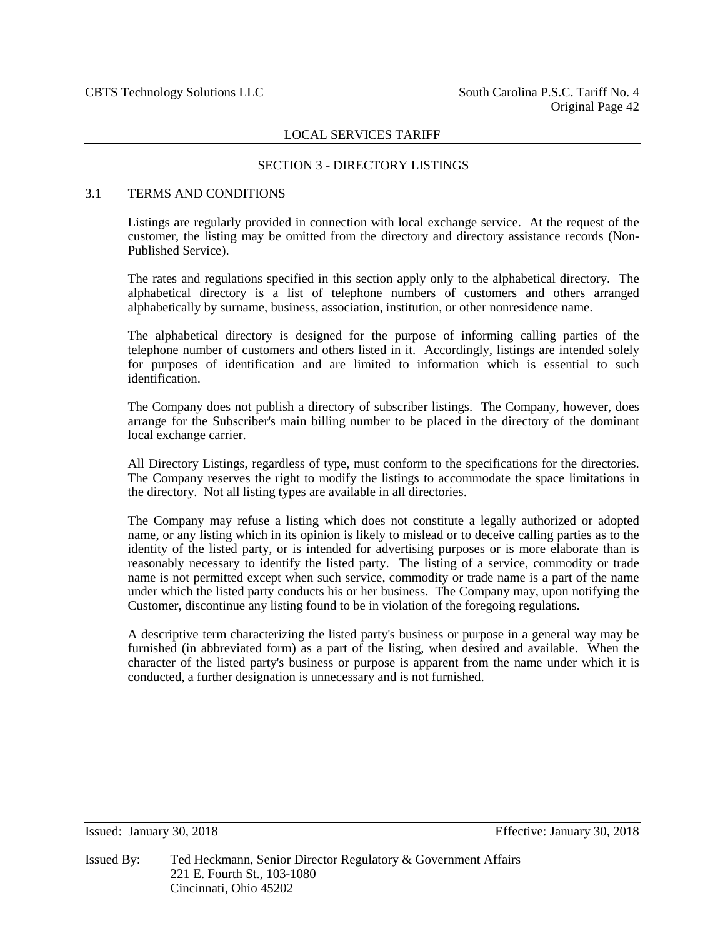## SECTION 3 - DIRECTORY LISTINGS

## 3.1 TERMS AND CONDITIONS

Listings are regularly provided in connection with local exchange service. At the request of the customer, the listing may be omitted from the directory and directory assistance records (Non-Published Service).

The rates and regulations specified in this section apply only to the alphabetical directory. The alphabetical directory is a list of telephone numbers of customers and others arranged alphabetically by surname, business, association, institution, or other nonresidence name.

The alphabetical directory is designed for the purpose of informing calling parties of the telephone number of customers and others listed in it. Accordingly, listings are intended solely for purposes of identification and are limited to information which is essential to such identification.

The Company does not publish a directory of subscriber listings. The Company, however, does arrange for the Subscriber's main billing number to be placed in the directory of the dominant local exchange carrier.

All Directory Listings, regardless of type, must conform to the specifications for the directories. The Company reserves the right to modify the listings to accommodate the space limitations in the directory. Not all listing types are available in all directories.

The Company may refuse a listing which does not constitute a legally authorized or adopted name, or any listing which in its opinion is likely to mislead or to deceive calling parties as to the identity of the listed party, or is intended for advertising purposes or is more elaborate than is reasonably necessary to identify the listed party. The listing of a service, commodity or trade name is not permitted except when such service, commodity or trade name is a part of the name under which the listed party conducts his or her business. The Company may, upon notifying the Customer, discontinue any listing found to be in violation of the foregoing regulations.

A descriptive term characterizing the listed party's business or purpose in a general way may be furnished (in abbreviated form) as a part of the listing, when desired and available. When the character of the listed party's business or purpose is apparent from the name under which it is conducted, a further designation is unnecessary and is not furnished.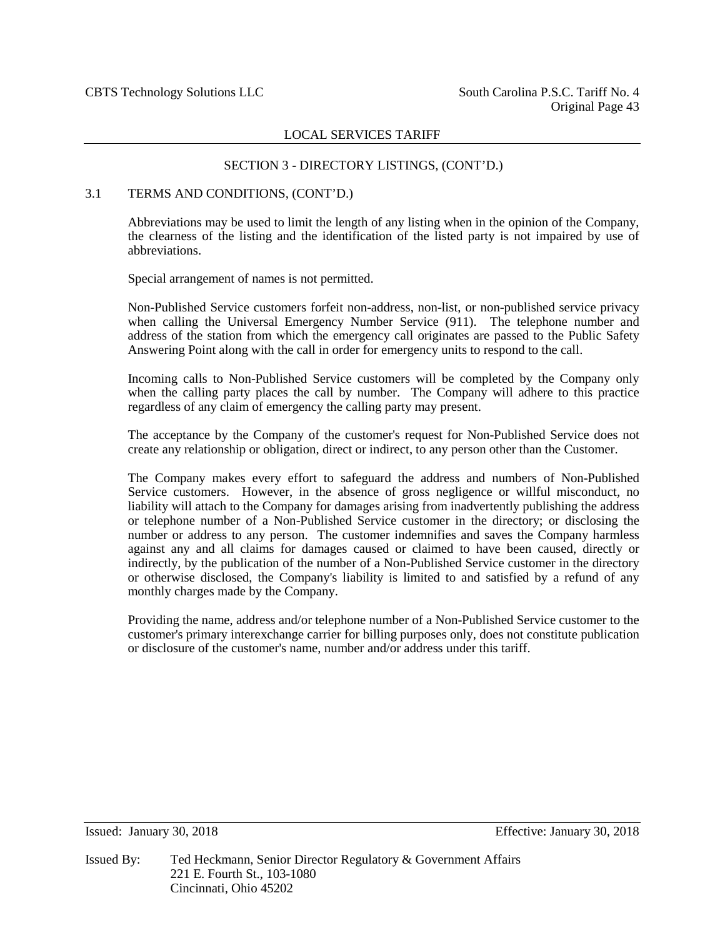## SECTION 3 - DIRECTORY LISTINGS, (CONT'D.)

#### 3.1 TERMS AND CONDITIONS, (CONT'D.)

Abbreviations may be used to limit the length of any listing when in the opinion of the Company, the clearness of the listing and the identification of the listed party is not impaired by use of abbreviations.

Special arrangement of names is not permitted.

Non-Published Service customers forfeit non-address, non-list, or non-published service privacy when calling the Universal Emergency Number Service (911). The telephone number and address of the station from which the emergency call originates are passed to the Public Safety Answering Point along with the call in order for emergency units to respond to the call.

Incoming calls to Non-Published Service customers will be completed by the Company only when the calling party places the call by number. The Company will adhere to this practice regardless of any claim of emergency the calling party may present.

The acceptance by the Company of the customer's request for Non-Published Service does not create any relationship or obligation, direct or indirect, to any person other than the Customer.

The Company makes every effort to safeguard the address and numbers of Non-Published Service customers. However, in the absence of gross negligence or willful misconduct, no liability will attach to the Company for damages arising from inadvertently publishing the address or telephone number of a Non-Published Service customer in the directory; or disclosing the number or address to any person. The customer indemnifies and saves the Company harmless against any and all claims for damages caused or claimed to have been caused, directly or indirectly, by the publication of the number of a Non-Published Service customer in the directory or otherwise disclosed, the Company's liability is limited to and satisfied by a refund of any monthly charges made by the Company.

Providing the name, address and/or telephone number of a Non-Published Service customer to the customer's primary interexchange carrier for billing purposes only, does not constitute publication or disclosure of the customer's name, number and/or address under this tariff.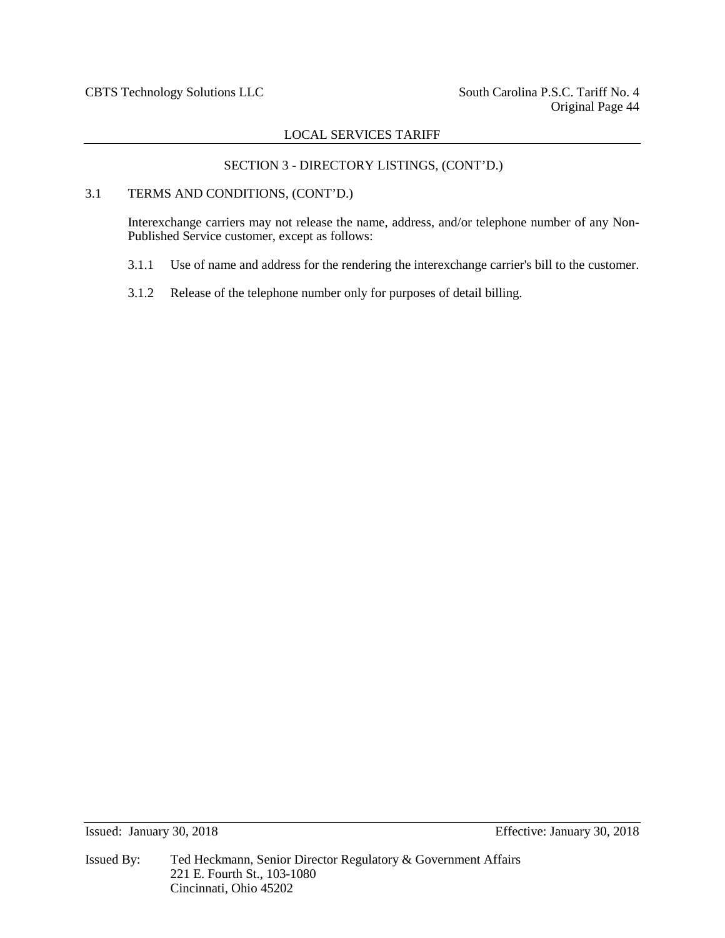## SECTION 3 - DIRECTORY LISTINGS, (CONT'D.)

## 3.1 TERMS AND CONDITIONS, (CONT'D.)

Interexchange carriers may not release the name, address, and/or telephone number of any Non-Published Service customer, except as follows:

- 3.1.1 Use of name and address for the rendering the interexchange carrier's bill to the customer.
- 3.1.2 Release of the telephone number only for purposes of detail billing.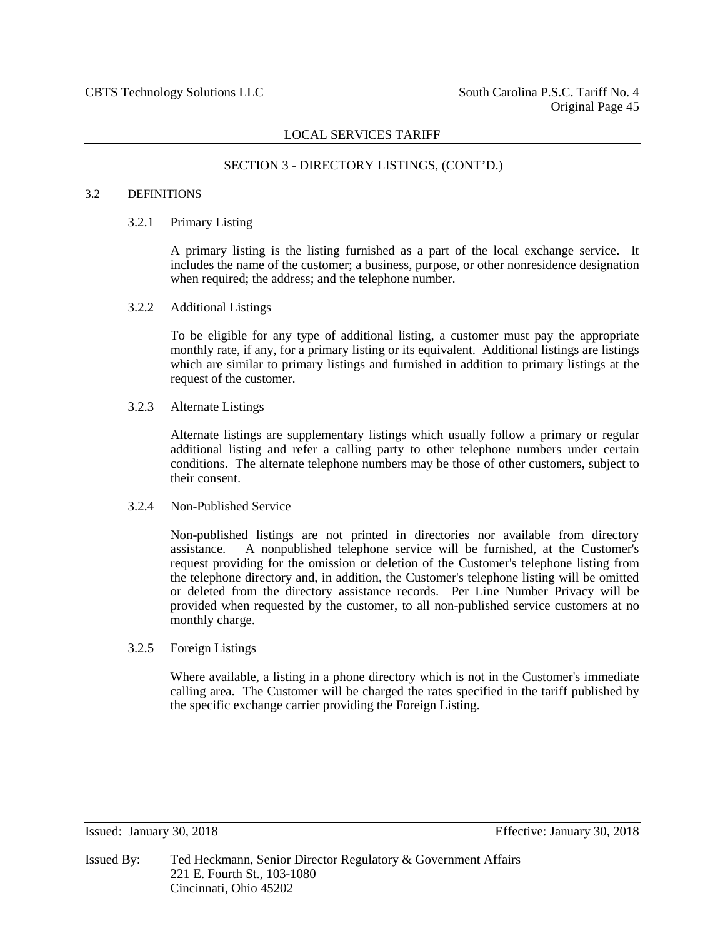## SECTION 3 - DIRECTORY LISTINGS, (CONT'D.)

#### 3.2 DEFINITIONS

#### 3.2.1 Primary Listing

A primary listing is the listing furnished as a part of the local exchange service. It includes the name of the customer; a business, purpose, or other nonresidence designation when required; the address; and the telephone number.

3.2.2 Additional Listings

To be eligible for any type of additional listing, a customer must pay the appropriate monthly rate, if any, for a primary listing or its equivalent. Additional listings are listings which are similar to primary listings and furnished in addition to primary listings at the request of the customer.

3.2.3 Alternate Listings

Alternate listings are supplementary listings which usually follow a primary or regular additional listing and refer a calling party to other telephone numbers under certain conditions. The alternate telephone numbers may be those of other customers, subject to their consent.

#### 3.2.4 Non-Published Service

Non-published listings are not printed in directories nor available from directory assistance. A nonpublished telephone service will be furnished, at the Customer's request providing for the omission or deletion of the Customer's telephone listing from the telephone directory and, in addition, the Customer's telephone listing will be omitted or deleted from the directory assistance records. Per Line Number Privacy will be provided when requested by the customer, to all non-published service customers at no monthly charge.

3.2.5 Foreign Listings

Where available, a listing in a phone directory which is not in the Customer's immediate calling area. The Customer will be charged the rates specified in the tariff published by the specific exchange carrier providing the Foreign Listing.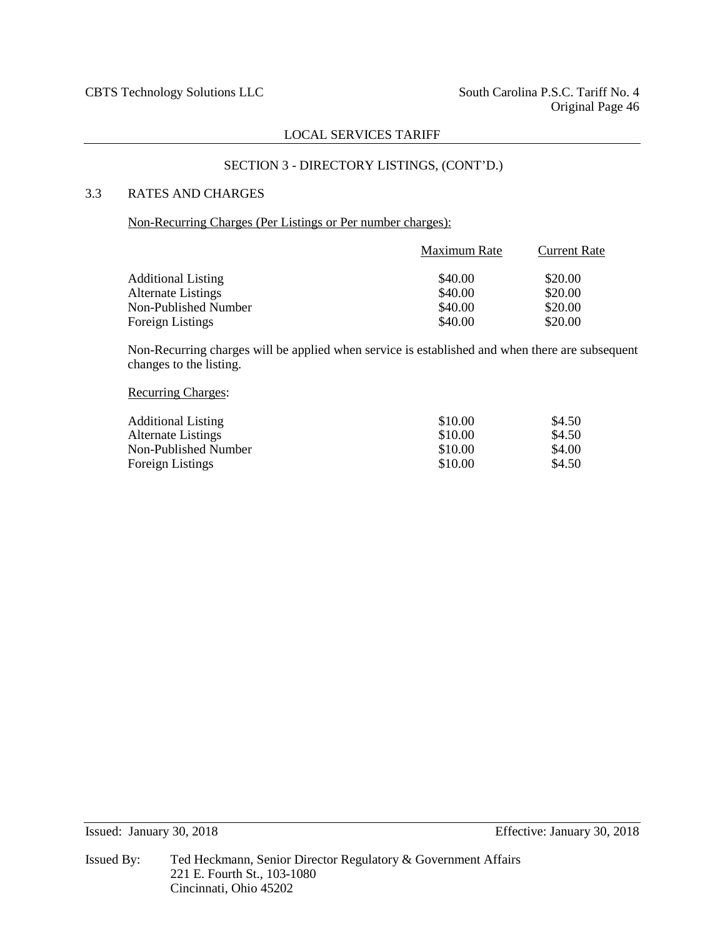## SECTION 3 - DIRECTORY LISTINGS, (CONT'D.)

## 3.3 RATES AND CHARGES

## Non-Recurring Charges (Per Listings or Per number charges):

|                           | Maximum Rate | <b>Current Rate</b> |  |
|---------------------------|--------------|---------------------|--|
| <b>Additional Listing</b> | \$40.00      | \$20.00             |  |
| <b>Alternate Listings</b> | \$40.00      | \$20.00             |  |
| Non-Published Number      | \$40.00      | \$20.00             |  |
| Foreign Listings          | \$40.00      | \$20.00             |  |

Non-Recurring charges will be applied when service is established and when there are subsequent changes to the listing.

#### Recurring Charges:

| <b>Additional Listing</b> | \$10.00 | \$4.50 |
|---------------------------|---------|--------|
| <b>Alternate Listings</b> | \$10.00 | \$4.50 |
| Non-Published Number      | \$10.00 | \$4.00 |
| Foreign Listings          | \$10.00 | \$4.50 |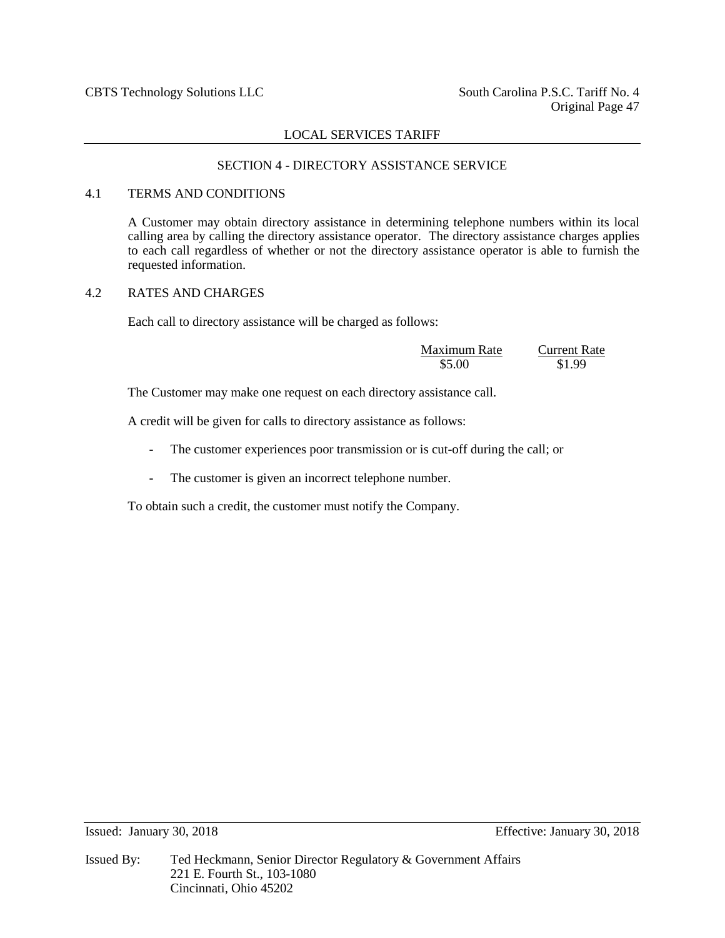## SECTION 4 - DIRECTORY ASSISTANCE SERVICE

## 4.1 TERMS AND CONDITIONS

A Customer may obtain directory assistance in determining telephone numbers within its local calling area by calling the directory assistance operator. The directory assistance charges applies to each call regardless of whether or not the directory assistance operator is able to furnish the requested information.

## 4.2 RATES AND CHARGES

Each call to directory assistance will be charged as follows:

| Maximum Rate | <b>Current Rate</b> |
|--------------|---------------------|
| \$5.00       | \$1.99              |

The Customer may make one request on each directory assistance call.

A credit will be given for calls to directory assistance as follows:

- The customer experiences poor transmission or is cut-off during the call; or
- The customer is given an incorrect telephone number.

To obtain such a credit, the customer must notify the Company.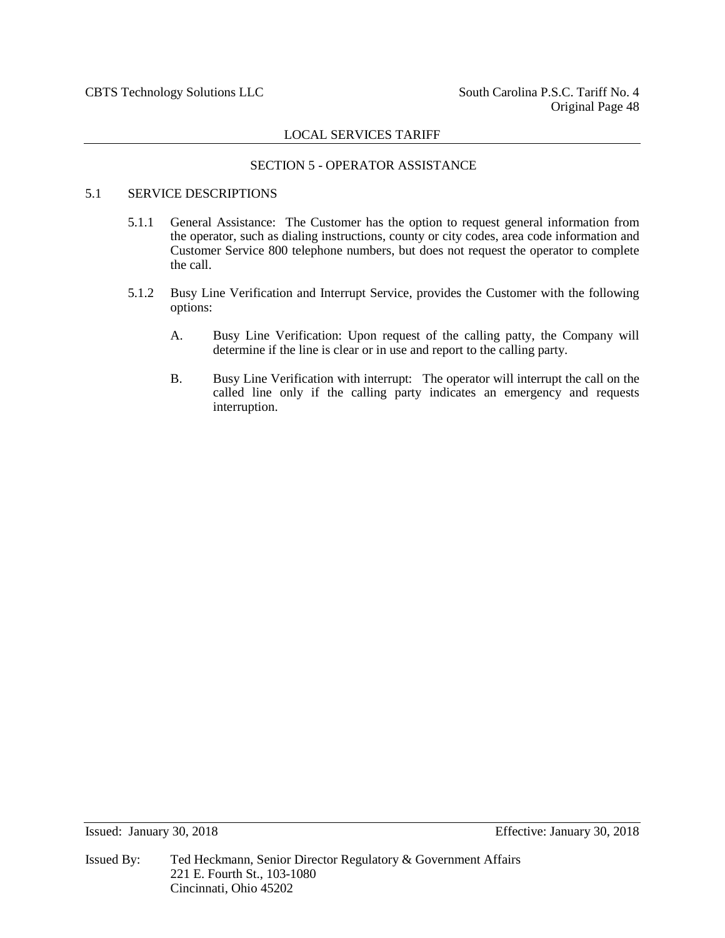## SECTION 5 - OPERATOR ASSISTANCE

## 5.1 SERVICE DESCRIPTIONS

- 5.1.1 General Assistance: The Customer has the option to request general information from the operator, such as dialing instructions, county or city codes, area code information and Customer Service 800 telephone numbers, but does not request the operator to complete the call.
- 5.1.2 Busy Line Verification and Interrupt Service, provides the Customer with the following options:
	- A. Busy Line Verification: Upon request of the calling patty, the Company will determine if the line is clear or in use and report to the calling party.
	- B. Busy Line Verification with interrupt: The operator will interrupt the call on the called line only if the calling party indicates an emergency and requests interruption.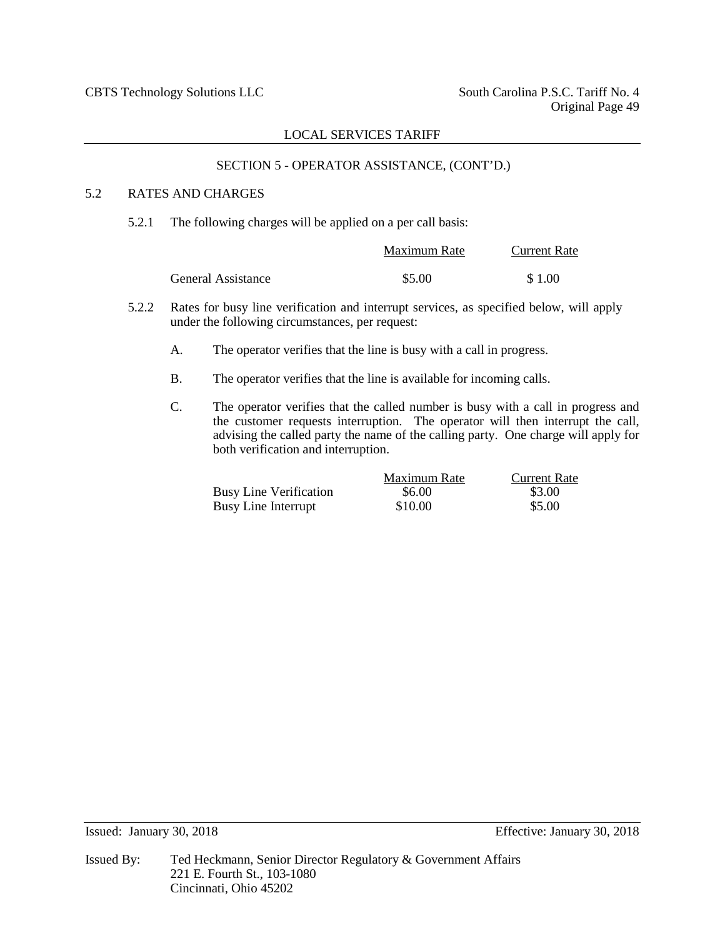## SECTION 5 - OPERATOR ASSISTANCE, (CONT'D.)

## 5.2 RATES AND CHARGES

5.2.1 The following charges will be applied on a per call basis:

|                    | Maximum Rate | <b>Current Rate</b> |  |
|--------------------|--------------|---------------------|--|
| General Assistance | \$5.00       | \$1.00              |  |

- 5.2.2 Rates for busy line verification and interrupt services, as specified below, will apply under the following circumstances, per request:
	- A. The operator verifies that the line is busy with a call in progress.
	- B. The operator verifies that the line is available for incoming calls.
	- C. The operator verifies that the called number is busy with a call in progress and the customer requests interruption. The operator will then interrupt the call, advising the called party the name of the calling party. One charge will apply for both verification and interruption.

|                               | Maximum Rate | <b>Current Rate</b> |
|-------------------------------|--------------|---------------------|
| <b>Busy Line Verification</b> | \$6.00       | \$3.00              |
| Busy Line Interrupt           | \$10.00      | \$5.00              |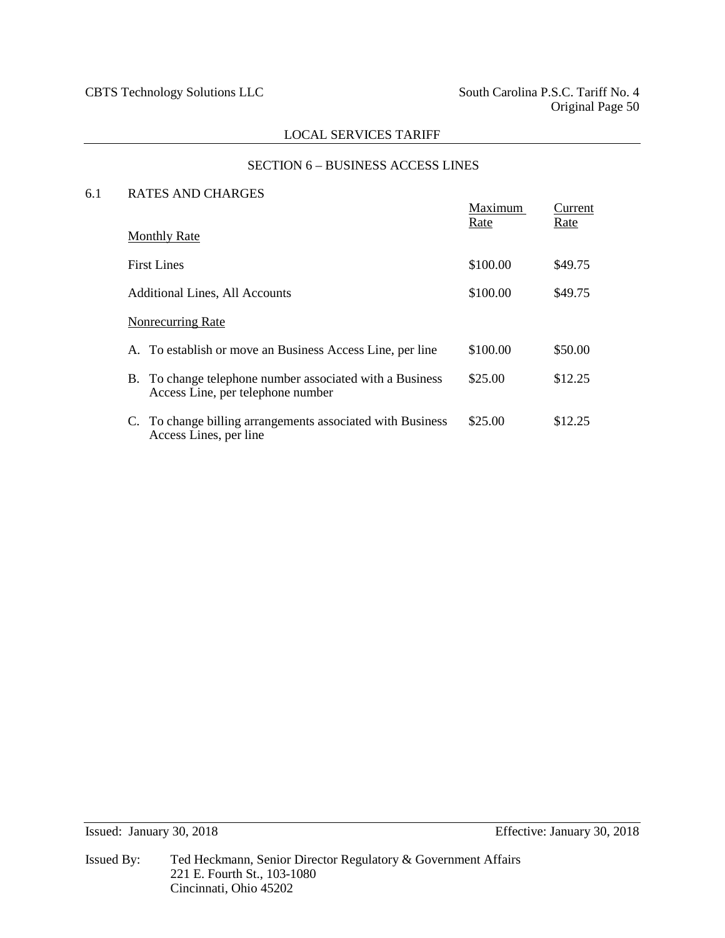## SECTION 6 – BUSINESS ACCESS LINES

## 6.1 RATES AND CHARGES

|                                                                                               | Maximum<br>Rate | Current<br>Rate |
|-----------------------------------------------------------------------------------------------|-----------------|-----------------|
| <b>Monthly Rate</b>                                                                           |                 |                 |
| <b>First Lines</b>                                                                            | \$100.00        | \$49.75         |
| Additional Lines, All Accounts                                                                | \$100.00        | \$49.75         |
| Nonrecurring Rate                                                                             |                 |                 |
| A. To establish or move an Business Access Line, per line                                     | \$100.00        | \$50.00         |
| B. To change telephone number associated with a Business<br>Access Line, per telephone number | \$25.00         | \$12.25         |
| C. To change billing arrangements associated with Business<br>Access Lines, per line          | \$25.00         | \$12.25         |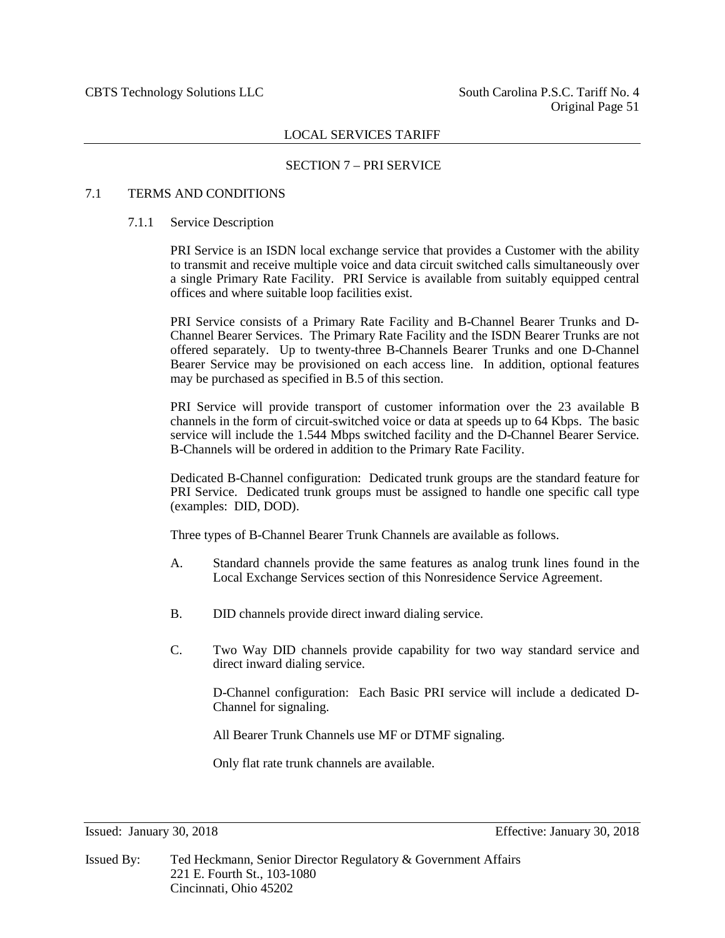#### SECTION 7 – PRI SERVICE

## 7.1 TERMS AND CONDITIONS

#### 7.1.1 Service Description

PRI Service is an ISDN local exchange service that provides a Customer with the ability to transmit and receive multiple voice and data circuit switched calls simultaneously over a single Primary Rate Facility. PRI Service is available from suitably equipped central offices and where suitable loop facilities exist.

PRI Service consists of a Primary Rate Facility and B-Channel Bearer Trunks and D-Channel Bearer Services. The Primary Rate Facility and the ISDN Bearer Trunks are not offered separately. Up to twenty-three B-Channels Bearer Trunks and one D-Channel Bearer Service may be provisioned on each access line. In addition, optional features may be purchased as specified in B.5 of this section.

PRI Service will provide transport of customer information over the 23 available B channels in the form of circuit-switched voice or data at speeds up to 64 Kbps. The basic service will include the 1.544 Mbps switched facility and the D-Channel Bearer Service. B-Channels will be ordered in addition to the Primary Rate Facility.

Dedicated B-Channel configuration: Dedicated trunk groups are the standard feature for PRI Service. Dedicated trunk groups must be assigned to handle one specific call type (examples: DID, DOD).

Three types of B-Channel Bearer Trunk Channels are available as follows.

- A. Standard channels provide the same features as analog trunk lines found in the Local Exchange Services section of this Nonresidence Service Agreement.
- B. DID channels provide direct inward dialing service.
- C. Two Way DID channels provide capability for two way standard service and direct inward dialing service.

D-Channel configuration: Each Basic PRI service will include a dedicated D-Channel for signaling.

All Bearer Trunk Channels use MF or DTMF signaling.

Only flat rate trunk channels are available.

Issued By: Ted Heckmann, Senior Director Regulatory & Government Affairs 221 E. Fourth St., 103-1080 Cincinnati, Ohio 45202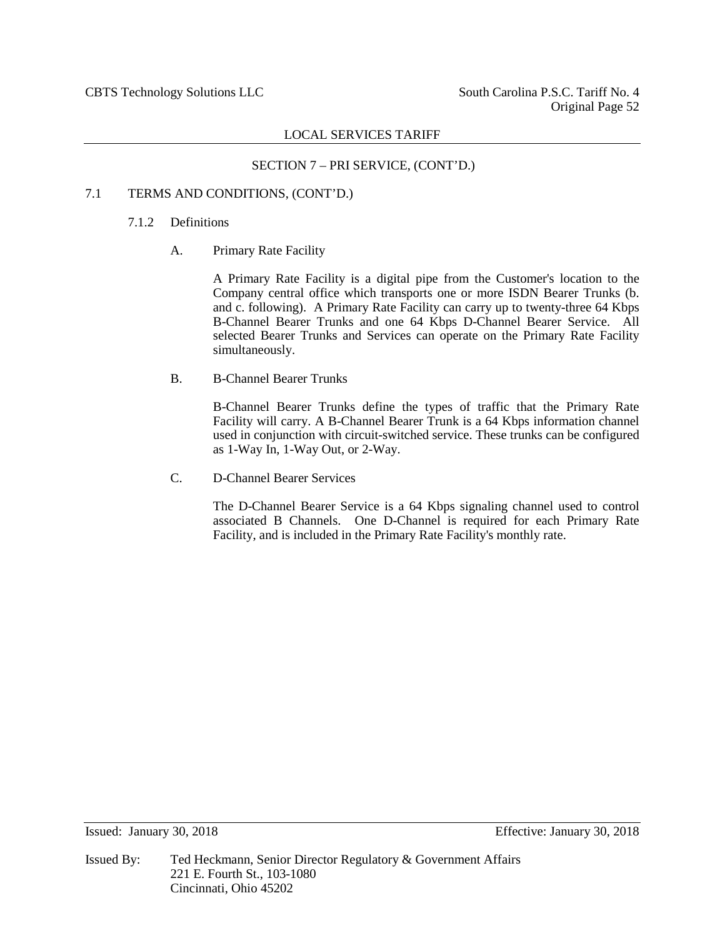## SECTION 7 – PRI SERVICE, (CONT'D.)

## 7.1 TERMS AND CONDITIONS, (CONT'D.)

## 7.1.2 Definitions

A. Primary Rate Facility

A Primary Rate Facility is a digital pipe from the Customer's location to the Company central office which transports one or more ISDN Bearer Trunks (b. and c. following). A Primary Rate Facility can carry up to twenty-three 64 Kbps B-Channel Bearer Trunks and one 64 Kbps D-Channel Bearer Service. All selected Bearer Trunks and Services can operate on the Primary Rate Facility simultaneously.

B. B-Channel Bearer Trunks

B-Channel Bearer Trunks define the types of traffic that the Primary Rate Facility will carry. A B-Channel Bearer Trunk is a 64 Kbps information channel used in conjunction with circuit-switched service. These trunks can be configured as 1-Way In, 1-Way Out, or 2-Way.

C. D-Channel Bearer Services

The D-Channel Bearer Service is a 64 Kbps signaling channel used to control associated B Channels. One D-Channel is required for each Primary Rate Facility, and is included in the Primary Rate Facility's monthly rate.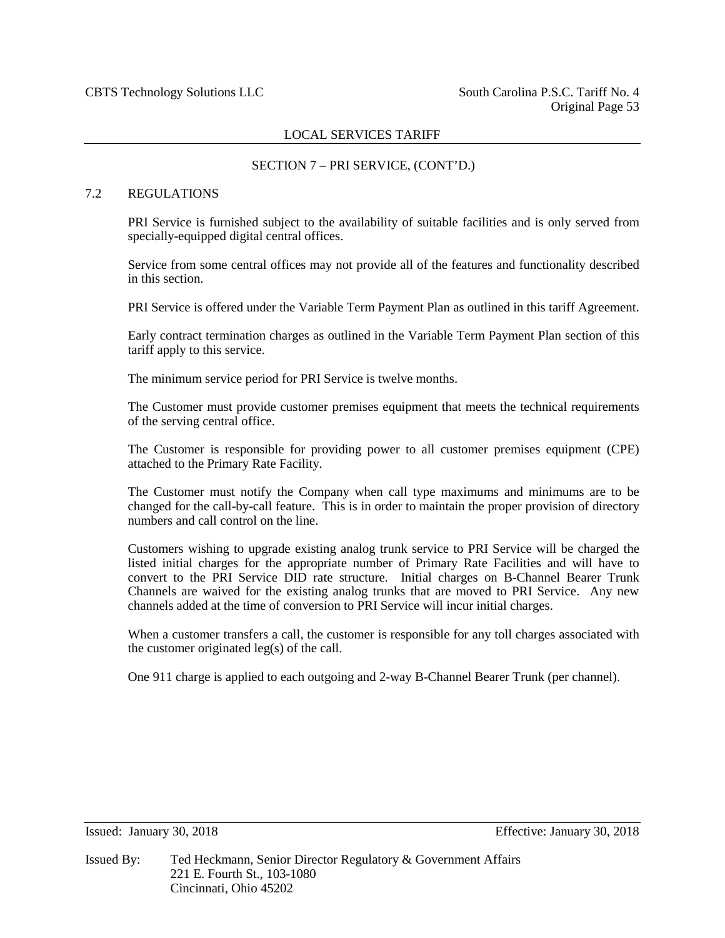## SECTION 7 – PRI SERVICE, (CONT'D.)

## 7.2 REGULATIONS

PRI Service is furnished subject to the availability of suitable facilities and is only served from specially-equipped digital central offices.

Service from some central offices may not provide all of the features and functionality described in this section.

PRI Service is offered under the Variable Term Payment Plan as outlined in this tariff Agreement.

Early contract termination charges as outlined in the Variable Term Payment Plan section of this tariff apply to this service.

The minimum service period for PRI Service is twelve months.

The Customer must provide customer premises equipment that meets the technical requirements of the serving central office.

The Customer is responsible for providing power to all customer premises equipment (CPE) attached to the Primary Rate Facility.

The Customer must notify the Company when call type maximums and minimums are to be changed for the call-by-call feature. This is in order to maintain the proper provision of directory numbers and call control on the line.

Customers wishing to upgrade existing analog trunk service to PRI Service will be charged the listed initial charges for the appropriate number of Primary Rate Facilities and will have to convert to the PRI Service DID rate structure. Initial charges on B-Channel Bearer Trunk Channels are waived for the existing analog trunks that are moved to PRI Service. Any new channels added at the time of conversion to PRI Service will incur initial charges.

When a customer transfers a call, the customer is responsible for any toll charges associated with the customer originated leg(s) of the call.

One 911 charge is applied to each outgoing and 2-way B-Channel Bearer Trunk (per channel).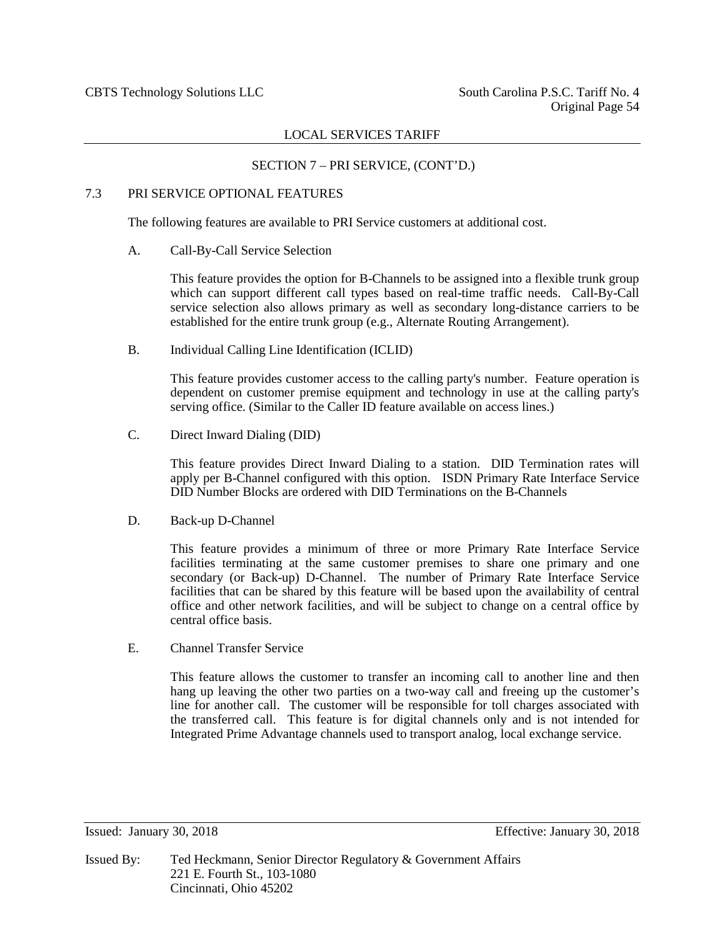#### SECTION 7 – PRI SERVICE, (CONT'D.)

## 7.3 PRI SERVICE OPTIONAL FEATURES

The following features are available to PRI Service customers at additional cost.

A. Call-By-Call Service Selection

This feature provides the option for B-Channels to be assigned into a flexible trunk group which can support different call types based on real-time traffic needs. Call-By-Call service selection also allows primary as well as secondary long-distance carriers to be established for the entire trunk group (e.g., Alternate Routing Arrangement).

B. Individual Calling Line Identification (ICLID)

This feature provides customer access to the calling party's number. Feature operation is dependent on customer premise equipment and technology in use at the calling party's serving office. (Similar to the Caller ID feature available on access lines.)

C. Direct Inward Dialing (DID)

This feature provides Direct Inward Dialing to a station. DID Termination rates will apply per B-Channel configured with this option. ISDN Primary Rate Interface Service DID Number Blocks are ordered with DID Terminations on the B-Channels

D. Back-up D-Channel

This feature provides a minimum of three or more Primary Rate Interface Service facilities terminating at the same customer premises to share one primary and one secondary (or Back-up) D-Channel. The number of Primary Rate Interface Service facilities that can be shared by this feature will be based upon the availability of central office and other network facilities, and will be subject to change on a central office by central office basis.

E. Channel Transfer Service

This feature allows the customer to transfer an incoming call to another line and then hang up leaving the other two parties on a two-way call and freeing up the customer's line for another call. The customer will be responsible for toll charges associated with the transferred call. This feature is for digital channels only and is not intended for Integrated Prime Advantage channels used to transport analog, local exchange service.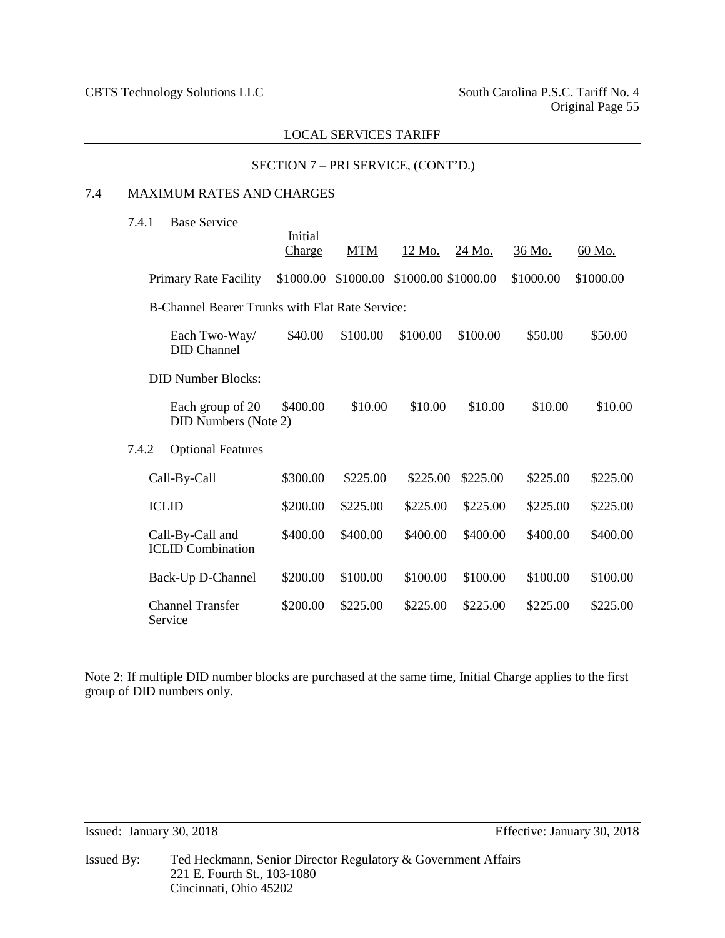## SECTION 7 – PRI SERVICE, (CONT'D.)

## 7.4 MAXIMUM RATES AND CHARGES

7.4.1 Base Service

|       |                                                 | Initial<br>Charge | <b>MTM</b> | <u>12 Mo.</u>       | 24 Mo.   | 36 Mo.    | 60 Mo.    |
|-------|-------------------------------------------------|-------------------|------------|---------------------|----------|-----------|-----------|
|       | <b>Primary Rate Facility</b>                    | \$1000.00         | \$1000.00  | \$1000.00 \$1000.00 |          | \$1000.00 | \$1000.00 |
|       | B-Channel Bearer Trunks with Flat Rate Service: |                   |            |                     |          |           |           |
|       | Each Two-Way/<br><b>DID</b> Channel             | \$40.00           | \$100.00   | \$100.00            | \$100.00 | \$50.00   | \$50.00   |
|       | <b>DID Number Blocks:</b>                       |                   |            |                     |          |           |           |
|       | Each group of 20<br><b>DID Numbers (Note 2)</b> | \$400.00          | \$10.00    | \$10.00             | \$10.00  | \$10.00   | \$10.00   |
| 7.4.2 | <b>Optional Features</b>                        |                   |            |                     |          |           |           |
|       | Call-By-Call                                    | \$300.00          | \$225.00   | \$225.00            | \$225.00 | \$225.00  | \$225.00  |
|       | <b>ICLID</b>                                    | \$200.00          | \$225.00   | \$225.00            | \$225.00 | \$225.00  | \$225.00  |
|       | Call-By-Call and<br><b>ICLID</b> Combination    | \$400.00          | \$400.00   | \$400.00            | \$400.00 | \$400.00  | \$400.00  |
|       | Back-Up D-Channel                               | \$200.00          | \$100.00   | \$100.00            | \$100.00 | \$100.00  | \$100.00  |
|       | <b>Channel Transfer</b><br>Service              | \$200.00          | \$225.00   | \$225.00            | \$225.00 | \$225.00  | \$225.00  |

Note 2: If multiple DID number blocks are purchased at the same time, Initial Charge applies to the first group of DID numbers only.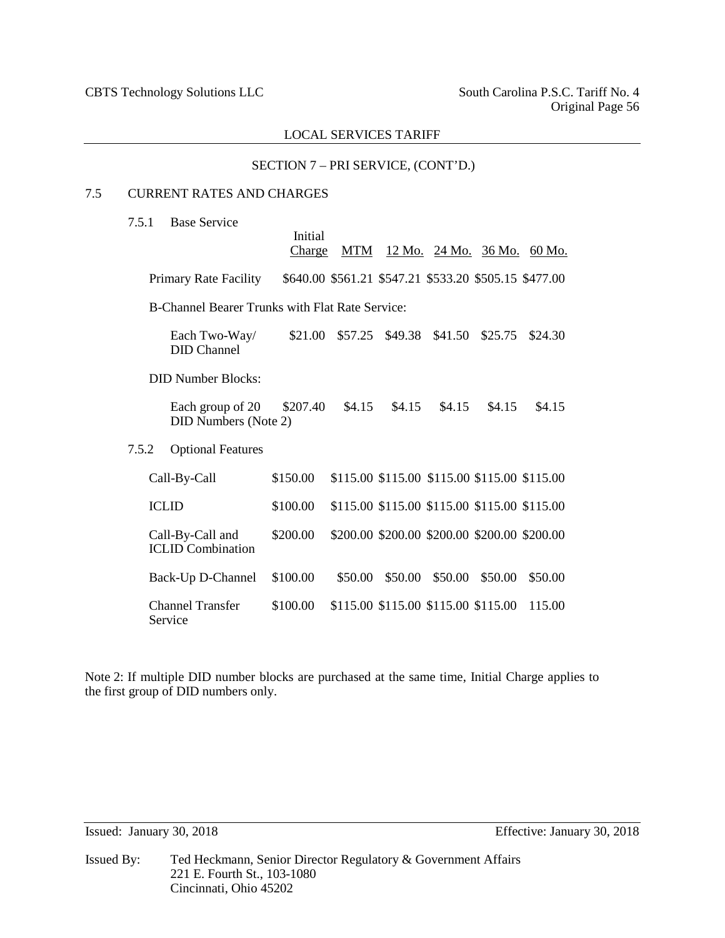## SECTION 7 – PRI SERVICE, (CONT'D.)

## 7.5 CURRENT RATES AND CHARGES

| 7.5.1 | <b>Base Service</b> |
|-------|---------------------|
|       |                     |

|                                                 |                                                 | Initial<br>Charge | <b>MTM</b> |                                                       |                 |         | <u>12 Mo. 24 Mo. 36 Mo. 60 Mo.</u> |  |
|-------------------------------------------------|-------------------------------------------------|-------------------|------------|-------------------------------------------------------|-----------------|---------|------------------------------------|--|
|                                                 | <b>Primary Rate Facility</b>                    |                   |            | \$640.00 \$561.21 \$547.21 \$533.20 \$505.15 \$477.00 |                 |         |                                    |  |
| B-Channel Bearer Trunks with Flat Rate Service: |                                                 |                   |            |                                                       |                 |         |                                    |  |
|                                                 | Each Two-Way/<br><b>DID</b> Channel             | \$21.00           | \$57.25    |                                                       | \$49.38 \$41.50 | \$25.75 | \$24.30                            |  |
|                                                 | <b>DID Number Blocks:</b>                       |                   |            |                                                       |                 |         |                                    |  |
|                                                 | Each group of 20<br><b>DID Numbers (Note 2)</b> | \$207.40          | \$4.15     | \$4.15                                                | \$4.15          | \$4.15  | \$4.15                             |  |
| 7.5.2                                           | <b>Optional Features</b>                        |                   |            |                                                       |                 |         |                                    |  |
|                                                 | Call-By-Call                                    | \$150.00          |            | \$115.00 \$115.00 \$115.00 \$115.00 \$115.00          |                 |         |                                    |  |
|                                                 | <b>ICLID</b>                                    | \$100.00          |            | \$115.00 \$115.00 \$115.00 \$115.00 \$115.00          |                 |         |                                    |  |
|                                                 | Call-By-Call and<br><b>ICLID</b> Combination    | \$200.00          |            | \$200.00 \$200.00 \$200.00 \$200.00 \$200.00          |                 |         |                                    |  |
|                                                 | Back-Up D-Channel                               | \$100.00          | \$50.00    | \$50.00                                               | \$50.00         | \$50.00 | \$50.00                            |  |
|                                                 | Channel Transfer                                | \$100.00          |            | \$115.00 \$115.00 \$115.00 \$115.00                   |                 |         | 115.00                             |  |

Note 2: If multiple DID number blocks are purchased at the same time, Initial Charge applies to the first group of DID numbers only.

Service

Issued By: Ted Heckmann, Senior Director Regulatory & Government Affairs 221 E. Fourth St., 103-1080 Cincinnati, Ohio 45202